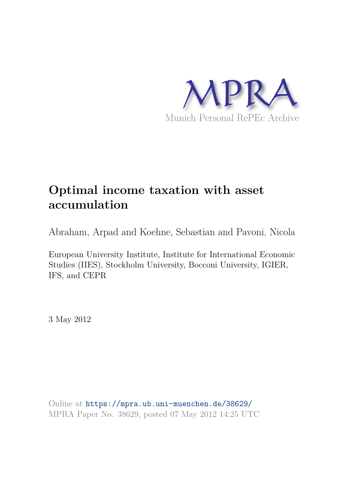

# **Optimal income taxation with asset accumulation**

Abraham, Arpad and Koehne, Sebastian and Pavoni, Nicola

European University Institute, Institute for International Economic Studies (IIES), Stockholm University, Bocconi University, IGIER, IFS, and CEPR

3 May 2012

Online at https://mpra.ub.uni-muenchen.de/38629/ MPRA Paper No. 38629, posted 07 May 2012 14:25 UTC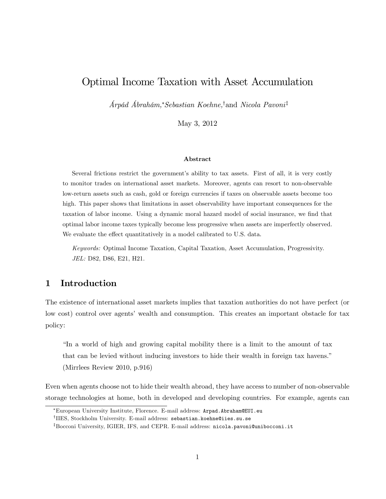# Optimal Income Taxation with Asset Accumulation

 $A$ rpád Ábrahám,\*Sebastian Koehne,<sup>†</sup>and Nicola Pavoni<sup>‡</sup>

May 3, 2012

#### Abstract

Several frictions restrict the government's ability to tax assets. First of all, it is very costly to monitor trades on international asset markets. Moreover, agents can resort to non-observable low-return assets such as cash, gold or foreign currencies if taxes on observable assets become too high. This paper shows that limitations in asset observability have important consequences for the taxation of labor income. Using a dynamic moral hazard model of social insurance, we find that optimal labor income taxes typically become less progressive when assets are imperfectly observed. We evaluate the effect quantitatively in a model calibrated to U.S. data.

Keywords: Optimal Income Taxation, Capital Taxation, Asset Accumulation, Progressivity. JEL: D82, D86, E21, H21.

## 1 Introduction

The existence of international asset markets implies that taxation authorities do not have perfect (or low cost) control over agents' wealth and consumption. This creates an important obstacle for tax policy:

In a world of high and growing capital mobility there is a limit to the amount of tax that can be levied without inducing investors to hide their wealth in foreign tax havens." (Mirrlees Review 2010, p.916)

Even when agents choose not to hide their wealth abroad, they have access to number of non-observable storage technologies at home, both in developed and developing countries. For example, agents can

European University Institute, Florence. E-mail address: Arpad.Abraham@EUI.eu

 $^{\dagger}$ IIES, Stockholm University. E-mail address: sebastian.koehne@iies.su.se

<sup>&</sup>lt;sup>‡</sup>Bocconi University, IGIER, IFS, and CEPR. E-mail address: nicola.pavoni@unibocconi.it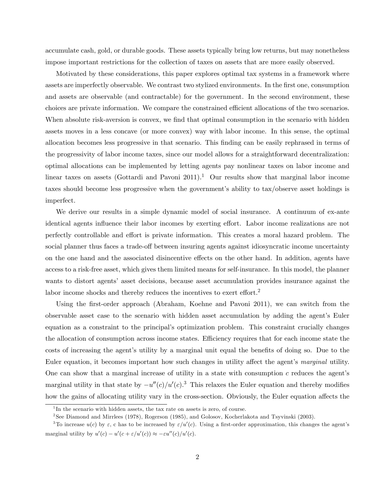accumulate cash, gold, or durable goods. These assets typically bring low returns, but may nonetheless impose important restrictions for the collection of taxes on assets that are more easily observed.

Motivated by these considerations, this paper explores optimal tax systems in a framework where assets are imperfectly observable. We contrast two stylized environments. In the first one, consumption and assets are observable (and contractable) for the government. In the second environment, these choices are private information. We compare the constrained efficient allocations of the two scenarios. When absolute risk-aversion is convex, we find that optimal consumption in the scenario with hidden assets moves in a less concave (or more convex) way with labor income. In this sense, the optimal allocation becomes less progressive in that scenario. This Önding can be easily rephrased in terms of the progressivity of labor income taxes, since our model allows for a straightforward decentralization: optimal allocations can be implemented by letting agents pay nonlinear taxes on labor income and linear taxes on assets (Gottardi and Pavoni  $2011$ ).<sup>1</sup> Our results show that marginal labor income taxes should become less progressive when the government's ability to tax/observe asset holdings is imperfect.

We derive our results in a simple dynamic model of social insurance. A continuum of ex-ante identical agents influence their labor incomes by exerting effort. Labor income realizations are not perfectly controllable and effort is private information. This creates a moral hazard problem. The social planner thus faces a trade-off between insuring agents against idiosyncratic income uncertainty on the one hand and the associated disincentive effects on the other hand. In addition, agents have access to a risk-free asset, which gives them limited means for self-insurance. In this model, the planner wants to distort agents' asset decisions, because asset accumulation provides insurance against the labor income shocks and thereby reduces the incentives to exert effort.<sup>2</sup>

Using the first-order approach (Abraham, Koehne and Pavoni 2011), we can switch from the observable asset case to the scenario with hidden asset accumulation by adding the agent's Euler equation as a constraint to the principal's optimization problem. This constraint crucially changes the allocation of consumption across income states. Efficiency requires that for each income state the costs of increasing the agent's utility by a marginal unit equal the benefits of doing so. Due to the Euler equation, it becomes important how such changes in utility affect the agent's marginal utility. One can show that a marginal increase of utility in a state with consumption  $c$  reduces the agent's marginal utility in that state by  $-u''(c)/u'(c)$ .<sup>3</sup> This relaxes the Euler equation and thereby modifies how the gains of allocating utility vary in the cross-section. Obviously, the Euler equation affects the

<sup>&</sup>lt;sup>1</sup>In the scenario with hidden assets, the tax rate on assets is zero, of course.

<sup>2</sup> See Diamond and Mirrlees (1978), Rogerson (1985), and Golosov, Kocherlakota and Tsyvinski (2003).

<sup>&</sup>lt;sup>3</sup>To increase  $u(c)$  by  $\varepsilon$ , c has to be increased by  $\varepsilon/u'(c)$ . Using a first-order approximation, this changes the agent's marginal utility by  $u'(c) - u'(c + \varepsilon/u'(c)) \approx -\varepsilon u''(c)/u'(c)$ .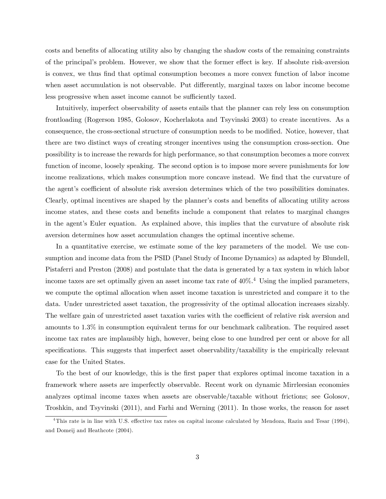costs and benefits of allocating utility also by changing the shadow costs of the remaining constraints of the principal's problem. However, we show that the former effect is key. If absolute risk-aversion is convex, we thus Önd that optimal consumption becomes a more convex function of labor income when asset accumulation is not observable. Put differently, marginal taxes on labor income become less progressive when asset income cannot be sufficiently taxed.

Intuitively, imperfect observability of assets entails that the planner can rely less on consumption frontloading (Rogerson 1985, Golosov, Kocherlakota and Tsyvinski 2003) to create incentives. As a consequence, the cross-sectional structure of consumption needs to be modified. Notice, however, that there are two distinct ways of creating stronger incentives using the consumption cross-section. One possibility is to increase the rewards for high performance, so that consumption becomes a more convex function of income, loosely speaking. The second option is to impose more severe punishments for low income realizations, which makes consumption more concave instead. We find that the curvature of the agent's coefficient of absolute risk aversion determines which of the two possibilities dominates. Clearly, optimal incentives are shaped by the planner's costs and benefits of allocating utility across income states, and these costs and benefits include a component that relates to marginal changes in the agent's Euler equation. As explained above, this implies that the curvature of absolute risk aversion determines how asset accumulation changes the optimal incentive scheme.

In a quantitative exercise, we estimate some of the key parameters of the model. We use consumption and income data from the PSID (Panel Study of Income Dynamics) as adapted by Blundell, Pistaferri and Preston (2008) and postulate that the data is generated by a tax system in which labor income taxes are set optimally given an asset income tax rate of  $40\%$ .<sup>4</sup> Using the implied parameters, we compute the optimal allocation when asset income taxation is unrestricted and compare it to the data. Under unrestricted asset taxation, the progressivity of the optimal allocation increases sizably. The welfare gain of unrestricted asset taxation varies with the coefficient of relative risk aversion and amounts to 1.3% in consumption equivalent terms for our benchmark calibration. The required asset income tax rates are implausibly high, however, being close to one hundred per cent or above for all specifications. This suggests that imperfect asset observability/taxability is the empirically relevant case for the United States.

To the best of our knowledge, this is the first paper that explores optimal income taxation in a framework where assets are imperfectly observable. Recent work on dynamic Mirrleesian economies analyzes optimal income taxes when assets are observable/taxable without frictions; see Golosov, Troshkin, and Tsyvinski (2011), and Farhi and Werning (2011). In those works, the reason for asset

 $4$ This rate is in line with U.S. effective tax rates on capital income calculated by Mendoza, Razin and Tesar (1994), and Domeij and Heathcote (2004).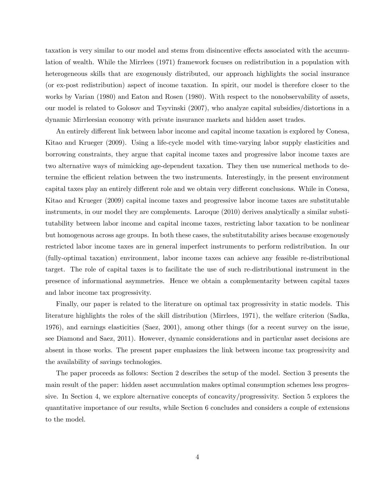taxation is very similar to our model and stems from disincentive effects associated with the accumulation of wealth. While the Mirrlees (1971) framework focuses on redistribution in a population with heterogeneous skills that are exogenously distributed, our approach highlights the social insurance (or ex-post redistribution) aspect of income taxation. In spirit, our model is therefore closer to the works by Varian (1980) and Eaton and Rosen (1980). With respect to the nonobservability of assets, our model is related to Golosov and Tsyvinski (2007), who analyze capital subsidies/distortions in a dynamic Mirrleesian economy with private insurance markets and hidden asset trades.

An entirely different link between labor income and capital income taxation is explored by Conesa, Kitao and Krueger (2009). Using a life-cycle model with time-varying labor supply elasticities and borrowing constraints, they argue that capital income taxes and progressive labor income taxes are two alternative ways of mimicking age-dependent taxation. They then use numerical methods to determine the efficient relation between the two instruments. Interestingly, in the present environment capital taxes play an entirely different role and we obtain very different conclusions. While in Conesa, Kitao and Krueger (2009) capital income taxes and progressive labor income taxes are substitutable instruments, in our model they are complements. Laroque (2010) derives analytically a similar substitutability between labor income and capital income taxes, restricting labor taxation to be nonlinear but homogenous across age groups. In both these cases, the substitutability arises because exogenously restricted labor income taxes are in general imperfect instruments to perform redistribution. In our (fully-optimal taxation) environment, labor income taxes can achieve any feasible re-distributional target. The role of capital taxes is to facilitate the use of such re-distributional instrument in the presence of informational asymmetries. Hence we obtain a complementarity between capital taxes and labor income tax progressivity.

Finally, our paper is related to the literature on optimal tax progressivity in static models. This literature highlights the roles of the skill distribution (Mirrlees, 1971), the welfare criterion (Sadka, 1976), and earnings elasticities (Saez, 2001), among other things (for a recent survey on the issue, see Diamond and Saez, 2011). However, dynamic considerations and in particular asset decisions are absent in those works. The present paper emphasizes the link between income tax progressivity and the availability of savings technologies.

The paper proceeds as follows: Section 2 describes the setup of the model. Section 3 presents the main result of the paper: hidden asset accumulation makes optimal consumption schemes less progressive. In Section 4, we explore alternative concepts of concavity/progressivity. Section 5 explores the quantitative importance of our results, while Section 6 concludes and considers a couple of extensions to the model.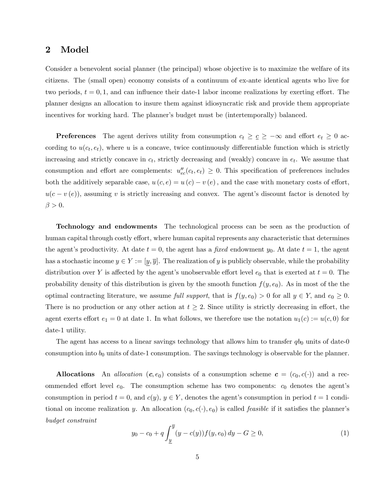## 2 Model

Consider a benevolent social planner (the principal) whose objective is to maximize the welfare of its citizens. The (small open) economy consists of a continuum of ex-ante identical agents who live for two periods,  $t = 0, 1$ , and can influence their date-1 labor income realizations by exerting effort. The planner designs an allocation to insure them against idiosyncratic risk and provide them appropriate incentives for working hard. The planner's budget must be (intertemporally) balanced.

**Preferences** The agent derives utility from consumption  $c_t \geq \underline{c} \geq -\infty$  and effort  $e_t \geq 0$  according to  $u(c_t, e_t)$ , where u is a concave, twice continuously differentiable function which is strictly increasing and strictly concave in  $c_t$ , strictly decreasing and (weakly) concave in  $e_t$ . We assume that consumption and effort are complements:  $u''_{ec}(c_t, e_t) \geq 0$ . This specification of preferences includes both the additively separable case,  $u(c, e) = u(c) - v(e)$ , and the case with monetary costs of effort,  $u(c - v(e))$ , assuming v is strictly increasing and convex. The agent's discount factor is denoted by  $\beta > 0.$ 

Technology and endowments The technological process can be seen as the production of human capital through costly effort, where human capital represents any characteristic that determines the agent's productivity. At date  $t = 0$ , the agent has a fixed endowment  $y_0$ . At date  $t = 1$ , the agent has a stochastic income  $y \in Y := [y, \overline{y}]$ . The realization of y is publicly observable, while the probability distribution over Y is affected by the agent's unobservable effort level  $e_0$  that is exerted at  $t = 0$ . The probability density of this distribution is given by the smooth function  $f(y, e_0)$ . As in most of the the optimal contracting literature, we assume full support, that is  $f(y, e_0) > 0$  for all  $y \in Y$ , and  $e_0 \ge 0$ . There is no production or any other action at  $t \geq 2$ . Since utility is strictly decreasing in effort, the agent exerts effort  $e_1 = 0$  at date 1. In what follows, we therefore use the notation  $u_1(c) := u(c, 0)$  for date-1 utility.

The agent has access to a linear savings technology that allows him to transfer  $q_{00}$  units of date-0 consumption into  $b_0$  units of date-1 consumption. The savings technology is observable for the planner.

Allocations An *allocation*  $(c, e_0)$  consists of a consumption scheme  $c = (c_0, c(\cdot))$  and a recommended effort level  $e_0$ . The consumption scheme has two components:  $c_0$  denotes the agent's consumption in period  $t = 0$ , and  $c(y)$ ,  $y \in Y$ , denotes the agent's consumption in period  $t = 1$  conditional on income realization y. An allocation  $(c_0, c(\cdot), e_0)$  is called *feasible* if it satisfies the planner's budget constraint

$$
y_0 - c_0 + q \int_{\underline{y}}^{\overline{y}} (y - c(y)) f(y, e_0) \, dy - G \ge 0,\tag{1}
$$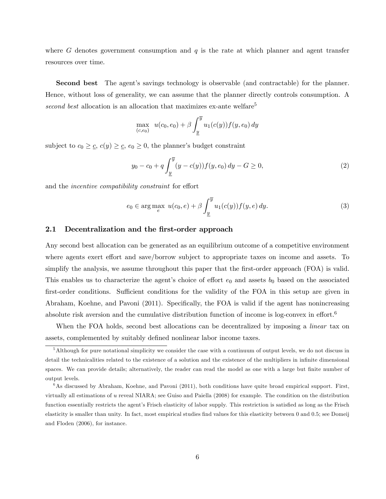where G denotes government consumption and  $q$  is the rate at which planner and agent transfer resources over time.

Second best The agent's savings technology is observable (and contractable) for the planner. Hence, without loss of generality, we can assume that the planner directly controls consumption. A second best allocation is an allocation that maximizes ex-ante welfare<sup>5</sup>

$$
\max_{(c,e_0)} u(c_0, e_0) + \beta \int_{\underline{y}}^{\overline{y}} u_1(c(y)) f(y, e_0) dy
$$

subject to  $c_0 \geq c$ ,  $c(y) \geq c$ ,  $e_0 \geq 0$ , the planner's budget constraint

$$
y_0 - c_0 + q \int_{\underline{y}}^{\overline{y}} (y - c(y)) f(y, e_0) \, dy - G \ge 0,\tag{2}
$$

and the *incentive compatibility constraint* for effort

$$
e_0 \in \arg\max_e u(c_0, e) + \beta \int_{\underline{y}}^{\overline{y}} u_1(c(y)) f(y, e) dy.
$$
 (3)

### 2.1 Decentralization and the first-order approach

Any second best allocation can be generated as an equilibrium outcome of a competitive environment where agents exert effort and save/borrow subject to appropriate taxes on income and assets. To simplify the analysis, we assume throughout this paper that the first-order approach (FOA) is valid. This enables us to characterize the agent's choice of effort  $e_0$  and assets  $b_0$  based on the associated first-order conditions. Sufficient conditions for the validity of the FOA in this setup are given in Abraham, Koehne, and Pavoni (2011). Specifically, the FOA is valid if the agent has nonincreasing absolute risk aversion and the cumulative distribution function of income is log-convex in effort.<sup>6</sup>

When the FOA holds, second best allocations can be decentralized by imposing a *linear* tax on assets, complemented by suitably defined nonlinear labor income taxes.

<sup>&</sup>lt;sup>5</sup>Although for pure notational simplicity we consider the case with a continuum of output levels, we do not discuss in detail the technicalities related to the existence of a solution and the existence of the multipliers in infinite dimensional spaces. We can provide details; alternatively, the reader can read the model as one with a large but finite number of output levels.

<sup>&</sup>lt;sup>6</sup>As discussed by Abraham, Koehne, and Pavoni (2011), both conditions have quite broad empirical support. First, virtually all estimations of u reveal NIARA; see Guiso and Paiella (2008) for example. The condition on the distribution function essentially restricts the agent's Frisch elasticity of labor supply. This restriction is satisfied as long as the Frisch elasticity is smaller than unity. In fact, most empirical studies find values for this elasticity between 0 and 0.5; see Domeij and Floden (2006), for instance.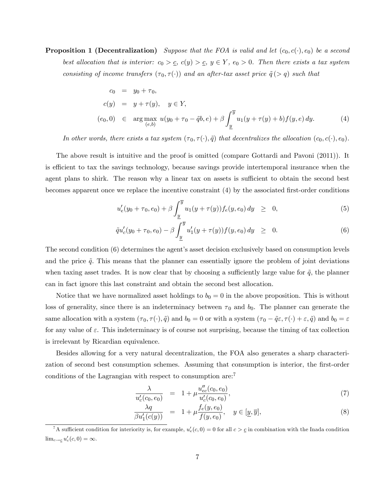**Proposition 1 (Decentralization)** Suppose that the FOA is valid and let  $(c_0, c(\cdot), e_0)$  be a second best allocation that is interior:  $c_0 > c$ ,  $c(y) > c$ ,  $y \in Y$ ,  $e_0 > 0$ . Then there exists a tax system consisting of income transfers  $(\tau_0, \tau(\cdot))$  and an after-tax asset price  $\tilde{q}(> q)$  such that

$$
c_0 = y_0 + \tau_0,
$$
  
\n
$$
c(y) = y + \tau(y), \quad y \in Y,
$$
  
\n
$$
(e_0, 0) \in \arg \max_{(e, b)} u(y_0 + \tau_0 - \tilde{q}b, e) + \beta \int_{\underline{y}}^{\overline{y}} u_1(y + \tau(y) + b) f(y, e) dy.
$$
\n(4)

In other words, there exists a tax system  $(\tau_0, \tau(\cdot), \tilde{q})$  that decentralizes the allocation  $(c_0, c(\cdot), e_0)$ .

The above result is intuitive and the proof is omitted (compare Gottardi and Pavoni (2011)). It is efficient to tax the savings technology, because savings provide intertemporal insurance when the agent plans to shirk. The reason why a linear tax on assets is sufficient to obtain the second best becomes apparent once we replace the incentive constraint  $(4)$  by the associated first-order conditions

$$
u'_{e}(y_{0} + \tau_{0}, e_{0}) + \beta \int_{\underline{y}}^{\overline{y}} u_{1}(y + \tau(y)) f_{e}(y, e_{0}) dy \geq 0, \qquad (5)
$$

$$
\tilde{q}u'_{c}(y_{0}+\tau_{0},e_{0})-\beta \int_{\underline{y}}^{\overline{y}}u'_{1}(y+\tau(y))f(y,e_{0})\,dy \geq 0. \tag{6}
$$

The second condition (6) determines the agent's asset decision exclusively based on consumption levels and the price  $\tilde{q}$ . This means that the planner can essentially ignore the problem of joint deviations when taxing asset trades. It is now clear that by choosing a sufficiently large value for  $\tilde{q}$ , the planner can in fact ignore this last constraint and obtain the second best allocation.

Notice that we have normalized asset holdings to  $b_0 = 0$  in the above proposition. This is without loss of generality, since there is an indeterminacy between  $\tau_0$  and  $b_0$ . The planner can generate the same allocation with a system  $(\tau_0, \tau(\cdot), \tilde{q})$  and  $b_0 = 0$  or with a system  $(\tau_0 - \tilde{q}\varepsilon, \tau(\cdot) + \varepsilon, \tilde{q})$  and  $b_0 = \varepsilon$ for any value of  $\varepsilon$ . This indeterminacy is of course not surprising, because the timing of tax collection is irrelevant by Ricardian equivalence.

Besides allowing for a very natural decentralization, the FOA also generates a sharp characterization of second best consumption schemes. Assuming that consumption is interior, the first-order conditions of the Lagrangian with respect to consumption are:<sup>7</sup>

$$
\frac{\lambda}{u_c'(c_0, e_0)} = 1 + \mu \frac{u_{ec}'(c_0, e_0)}{u_c'(c_0, e_0)},\tag{7}
$$

$$
\frac{\lambda q}{\beta u_1'(c(y))} = 1 + \mu \frac{f_e(y, e_0)}{f(y, e_0)}, \quad y \in [\underline{y}, \overline{y}],
$$
\n(8)

<sup>&</sup>lt;sup>7</sup>A sufficient condition for interiority is, for example,  $u'_e(c, 0) = 0$  for all  $c > c$  in combination with the Inada condition  $\lim_{c\to c} u'_c(c, 0) = \infty.$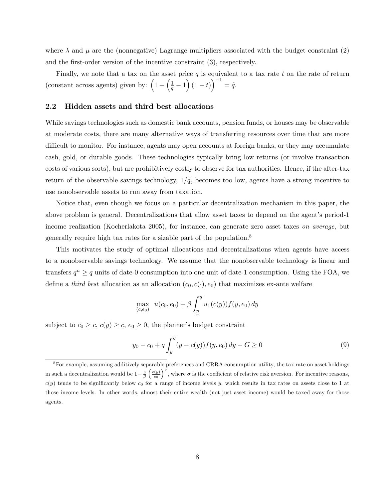where  $\lambda$  and  $\mu$  are the (nonnegative) Lagrange multipliers associated with the budget constraint (2) and the first-order version of the incentive constraint  $(3)$ , respectively.

Finally, we note that a tax on the asset price  $q$  is equivalent to a tax rate t on the rate of return (constant across agents) given by:  $\left(1+\left(\frac{1}{q}-1\right)(1-t)\right)^{-1}=\tilde{q}$ .

#### 2.2 Hidden assets and third best allocations

While savings technologies such as domestic bank accounts, pension funds, or houses may be observable at moderate costs, there are many alternative ways of transferring resources over time that are more difficult to monitor. For instance, agents may open accounts at foreign banks, or they may accumulate cash, gold, or durable goods. These technologies typically bring low returns (or involve transaction costs of various sorts), but are prohibitively costly to observe for tax authorities. Hence, if the after-tax return of the observable savings technology,  $1/\tilde{q}$ , becomes too low, agents have a strong incentive to use nonobservable assets to run away from taxation.

Notice that, even though we focus on a particular decentralization mechanism in this paper, the above problem is general. Decentralizations that allow asset taxes to depend on the agent's period-1 income realization (Kocherlakota 2005), for instance, can generate zero asset taxes on average, but generally require high tax rates for a sizable part of the population.<sup>8</sup>

This motivates the study of optimal allocations and decentralizations when agents have access to a nonobservable savings technology. We assume that the nonobservable technology is linear and transfers  $q^n \ge q$  units of date-0 consumption into one unit of date-1 consumption. Using the FOA, we define a third best allocation as an allocation  $(c_0, c(\cdot), e_0)$  that maximizes ex-ante welfare

$$
\max_{(c,e_0)} u(c_0, e_0) + \beta \int_{\underline{y}}^{\overline{y}} u_1(c(y)) f(y, e_0) dy
$$

subject to  $c_0 \geq \underline{c}$ ,  $c(y) \geq \underline{c}$ ,  $e_0 \geq 0$ , the planner's budget constraint

$$
y_0 - c_0 + q \int_{\underline{y}}^{\overline{y}} (y - c(y)) f(y, e_0) \, dy - G \ge 0 \tag{9}
$$

<sup>&</sup>lt;sup>8</sup>For example, assuming additively separable preferences and CRRA consumption utility, the tax rate on asset holdings in such a decentralization would be  $1-\frac{q}{\beta}\left(\frac{c(y)}{c_0}\right)^{\sigma}$ , where  $\sigma$  is the coefficient of relative risk aversion. For incentive reasons,  $c(y)$  tends to be significantly below  $c_0$  for a range of income levels y, which results in tax rates on assets close to 1 at those income levels. In other words, almost their entire wealth (not just asset income) would be taxed away for those agents.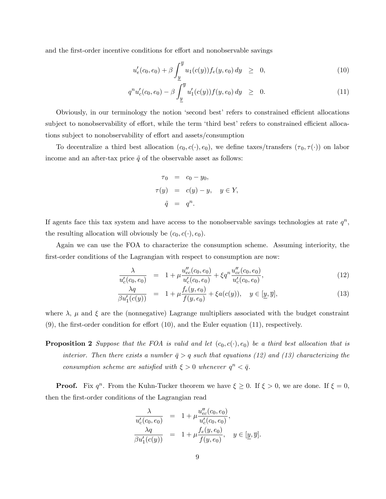and the first-order incentive conditions for effort and nonobservable savings

$$
u'_{e}(c_0, e_0) + \beta \int_{\underline{y}}^{\overline{y}} u_1(c(y)) f_e(y, e_0) dy \geq 0,
$$
\n(10)

$$
q^n u'_c(c_0, e_0) - \beta \int_{\underline{y}}^{\overline{y}} u'_1(c(y)) f(y, e_0) dy \geq 0.
$$
 (11)

Obviously, in our terminology the notion 'second best' refers to constrained efficient allocations subject to nonobservability of effort, while the term 'third best' refers to constrained efficient allocations subject to nonobservability of effort and assets/consumption

To decentralize a third best allocation  $(c_0, c(\cdot), e_0)$ , we define taxes/transfers  $(\tau_0, \tau(\cdot))$  on labor income and an after-tax price  $\tilde{q}$  of the observable asset as follows:

$$
\tau_0 = c_0 - y_0,
$$
  
\n
$$
\tau(y) = c(y) - y, \quad y \in Y,
$$
  
\n
$$
\tilde{q} = q^n.
$$

If agents face this tax system and have access to the nonobservable savings technologies at rate  $q^n$ , the resulting allocation will obviously be  $(c_0, c(\cdot), e_0)$ .

Again we can use the FOA to characterize the consumption scheme. Assuming interiority, the first-order conditions of the Lagrangian with respect to consumption are now:

$$
\frac{\lambda}{u_c'(c_0, e_0)} = 1 + \mu \frac{u_{ec}'(c_0, e_0)}{u_c'(c_0, e_0)} + \xi q^n \frac{u_{cc}''(c_0, e_0)}{u_c'(c_0, e_0)},
$$
\n(12)

$$
\frac{\lambda q}{\beta u_1'(c(y))} = 1 + \mu \frac{f_e(y, e_0)}{f(y, e_0)} + \xi a(c(y)), \quad y \in [\underline{y}, \overline{y}],
$$
\n(13)

where  $\lambda$ ,  $\mu$  and  $\xi$  are the (nonnegative) Lagrange multipliers associated with the budget constraint  $(9)$ , the first-order condition for effort  $(10)$ , and the Euler equation  $(11)$ , respectively.

**Proposition 2** Suppose that the FOA is valid and let  $(c_0, c(\cdot), e_0)$  be a third best allocation that is interior. Then there exists a number  $\bar{q} > q$  such that equations (12) and (13) characterizing the consumption scheme are satisfied with  $\xi > 0$  whenever  $q^n < \overline{q}$ .

**Proof.** Fix  $q^n$ . From the Kuhn-Tucker theorem we have  $\xi \geq 0$ . If  $\xi > 0$ , we are done. If  $\xi = 0$ , then the first-order conditions of the Lagrangian read

$$
\frac{\lambda}{u'_c(c_0, e_0)} = 1 + \mu \frac{u''_{ec}(c_0, e_0)}{u'_c(c_0, e_0)},
$$
  
\n
$$
\frac{\lambda q}{\beta u'_1(c(y))} = 1 + \mu \frac{f_e(y, e_0)}{f(y, e_0)}, \quad y \in [\underline{y}, \overline{y}].
$$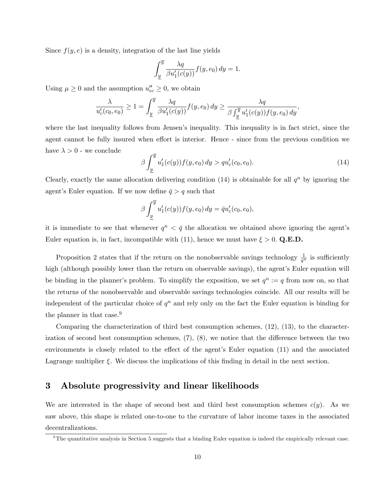Since  $f(y, e)$  is a density, integration of the last line yields

$$
\int_{\underline{y}}^{\overline{y}} \frac{\lambda q}{\beta u_1'(c(y))} f(y, e_0) dy = 1.
$$

Using  $\mu \geq 0$  and the assumption  $u''_{ec} \geq 0$ , we obtain

$$
\frac{\lambda}{u'_c(c_0, e_0)} \ge 1 = \int_{\underline{y}}^{\overline{y}} \frac{\lambda q}{\beta u'_1(c(y))} f(y, e_0) dy \ge \frac{\lambda q}{\beta \int_{\underline{y}}^{\overline{y}} u'_1(c(y)) f(y, e_0) dy},
$$

where the last inequality follows from Jensen's inequality. This inequality is in fact strict, since the agent cannot be fully insured when effort is interior. Hence - since from the previous condition we have  $\lambda > 0$  - we conclude

$$
\beta \int_{\underline{y}}^{\overline{y}} u_1'(c(y)) f(y, e_0) dy > q u_c'(c_0, e_0).
$$
\n(14)

Clearly, exactly the same allocation delivering condition (14) is obtainable for all  $q^n$  by ignoring the agent's Euler equation. If we now define  $\bar{q} > q$  such that

$$
\beta \int_{\underline{y}}^{\overline{y}} u_1'(c(y)) f(y, e_0) dy = \overline{q} u_c'(c_0, e_0),
$$

it is immediate to see that whenever  $q^n < \bar{q}$  the allocation we obtained above ignoring the agent's Euler equation is, in fact, incompatible with (11), hence we must have  $\xi > 0$ . Q.E.D.

Proposition 2 states that if the return on the nonobservable savings technology  $\frac{1}{q^n}$  is sufficiently high (although possibly lower than the return on observable savings), the agent's Euler equation will be binding in the planner's problem. To simplify the exposition, we set  $q^n := q$  from now on, so that the returns of the nonobservable and observable savings technologies coincide. All our results will be independent of the particular choice of  $q^n$  and rely only on the fact the Euler equation is binding for the planner in that case.<sup>9</sup>

Comparing the characterization of third best consumption schemes, (12), (13), to the characterization of second best consumption schemes,  $(7)$ ,  $(8)$ , we notice that the difference between the two environments is closely related to the effect of the agent's Euler equation  $(11)$  and the associated Lagrange multiplier  $\xi$ . We discuss the implications of this finding in detail in the next section.

## 3 Absolute progressivity and linear likelihoods

We are interested in the shape of second best and third best consumption schemes  $c(y)$ . As we saw above, this shape is related one-to-one to the curvature of labor income taxes in the associated decentralizations.

 $9$ The quantitative analysis in Section 5 suggests that a binding Euler equation is indeed the empirically relevant case.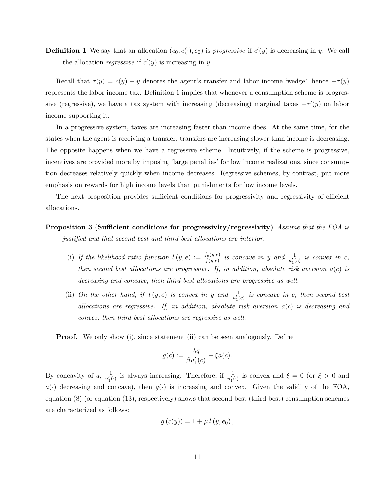**Definition 1** We say that an allocation  $(c_0, c(\cdot), e_0)$  is *progressive* if  $c'(y)$  is decreasing in y. We call the allocation *regressive* if  $c'(y)$  is increasing in y.

Recall that  $\tau(y) = c(y) - y$  denotes the agent's transfer and labor income 'wedge', hence  $-\tau(y)$ represents the labor income tax. Definition 1 implies that whenever a consumption scheme is progressive (regressive), we have a tax system with increasing (decreasing) marginal taxes  $-\tau'(y)$  on labor income supporting it.

In a progressive system, taxes are increasing faster than income does. At the same time, for the states when the agent is receiving a transfer, transfers are increasing slower than income is decreasing. The opposite happens when we have a regressive scheme. Intuitively, if the scheme is progressive, incentives are provided more by imposing 'large penalties' for low income realizations, since consumption decreases relatively quickly when income decreases. Regressive schemes, by contrast, put more emphasis on rewards for high income levels than punishments for low income levels.

The next proposition provides sufficient conditions for progressivity and regressivity of efficient allocations.

Proposition 3 (Sufficient conditions for progressivity/regressivity) Assume that the FOA is justified and that second best and third best allocations are interior.

- (i) If the likelihood ratio function  $l(y, e) := \frac{f_e(y, e)}{f(y, e)}$  is concave in y and  $\frac{1}{u'_1(c)}$  is convex in c, then second best allocations are progressive. If, in addition, absolute risk aversion  $a(c)$  is decreasing and concave, then third best allocations are progressive as well.
- (ii) On the other hand, if  $l(y, e)$  is convex in y and  $\frac{1}{u'_1(c)}$  is concave in c, then second best allocations are regressive. If, in addition, absolute risk aversion  $a(c)$  is decreasing and convex, then third best allocations are regressive as well.

**Proof.** We only show (i), since statement (ii) can be seen analogously. Define

$$
g(c) := \frac{\lambda q}{\beta u_1'(c)} - \xi a(c).
$$

By concavity of u,  $\frac{1}{u'_1(\cdot)}$  is always increasing. Therefore, if  $\frac{1}{u'_1(\cdot)}$  is convex and  $\xi = 0$  (or  $\xi > 0$  and  $a(\cdot)$  decreasing and concave), then  $g(\cdot)$  is increasing and convex. Given the validity of the FOA, equation (8) (or equation (13), respectively) shows that second best (third best) consumption schemes are characterized as follows:

$$
g(c(y)) = 1 + \mu l(y, e_0),
$$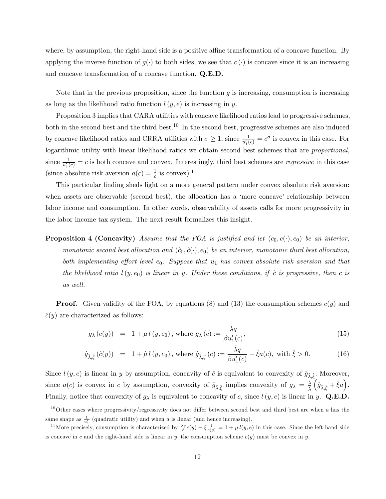where, by assumption, the right-hand side is a positive affine transformation of a concave function. By applying the inverse function of  $g(\cdot)$  to both sides, we see that  $c(\cdot)$  is concave since it is an increasing and concave transformation of a concave function. Q.E.D.

Note that in the previous proposition, since the function  $q$  is increasing, consumption is increasing as long as the likelihood ratio function  $l(y, e)$  is increasing in y.

Proposition 3 implies that CARA utilities with concave likelihood ratios lead to progressive schemes, both in the second best and the third best.<sup>10</sup> In the second best, progressive schemes are also induced by concave likelihood ratios and CRRA utilities with  $\sigma \ge 1$ , since  $\frac{1}{u'_1(c)} = c^{\sigma}$  is convex in this case. For logarithmic utility with linear likelihood ratios we obtain second best schemes that are proportional, since  $\frac{1}{u'_1(c)} = c$  is both concave and convex. Interestingly, third best schemes are *regressive* in this case (since absolute risk aversion  $a(c) = \frac{1}{c}$  is convex).<sup>11</sup>

This particular finding sheds light on a more general pattern under convex absolute risk aversion: when assets are observable (second best), the allocation has a 'more concave' relationship between labor income and consumption. In other words, observability of assets calls for more progressivity in the labor income tax system. The next result formalizes this insight.

**Proposition 4 (Concavity)** Assume that the FOA is justified and let  $(c_0, c(\cdot), e_0)$  be an interior, monotonic second best allocation and  $(\hat{c}_0, \hat{c}(\cdot), e_0)$  be an interior, monotonic third best allocation, both implementing effort level  $e_0$ . Suppose that  $u_1$  has convex absolute risk aversion and that the likelihood ratio  $l(y, e_0)$  is linear in y. Under these conditions, if  $\hat{c}$  is progressive, then c is as well.

**Proof.** Given validity of the FOA, by equations (8) and (13) the consumption schemes  $c(y)$  and  $\hat{c}(y)$  are characterized as follows:

$$
g_{\lambda}(c(y)) = 1 + \mu l(y, e_0), \text{ where } g_{\lambda}(c) := \frac{\lambda q}{\beta u_1'(c)},
$$
\n
$$
(15)
$$

$$
\hat{g}_{\hat{\lambda}, \hat{\xi}} (\hat{c}(y)) = 1 + \hat{\mu} l(y, e_0), \text{ where } \hat{g}_{\hat{\lambda}, \hat{\xi}} (c) := \frac{\hat{\lambda} q}{\beta u_1'(c)} - \hat{\xi} a(c), \text{ with } \hat{\xi} > 0.
$$
 (16)

Since  $l(y, e)$  is linear in y by assumption, concavity of  $\hat{c}$  is equivalent to convexity of  $\hat{g}_{\hat{\lambda}, \hat{\xi}}$ . Moreover, since  $a(c)$  is convex in c by assumption, convexity of  $\hat{g}_{\hat{\lambda}, \hat{\xi}}$  implies convexity of  $g_{\lambda} = \frac{\lambda}{\hat{\lambda}}$  $\Bigl(\hat{g}_{\hat{\lambda},\hat{\xi}} + \hat{\xi} a\Bigr).$ Finally, notice that convexity of  $g_{\lambda}$  is equivalent to concavity of c, since  $l(y, e)$  is linear in y. Q.E.D.

 $10$ Other cases where progressivity/regressivity does not differ between second best and third best are when a has the same shape as  $\frac{1}{u_1'}$  (quadratic utility) and when a is linear (and hence increasing).

<sup>&</sup>lt;sup>11</sup>More precisely, consumption is characterized by  $\frac{\lambda q}{\beta}c(y) - \xi \frac{1}{c(y)} = 1 + \mu l(y, e)$  in this case. Since the left-hand side is concave in c and the right-hand side is linear in y, the consumption scheme  $c(y)$  must be convex in y.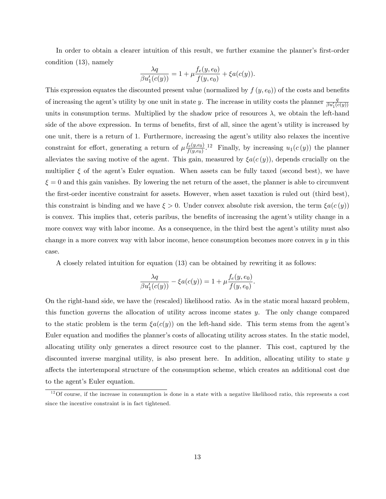In order to obtain a clearer intuition of this result, we further examine the planner's first-order condition (13), namely

$$
\frac{\lambda q}{\beta u_1'(c(y))} = 1 + \mu \frac{f_e(y, e_0)}{f(y, e_0)} + \xi a(c(y)).
$$

This expression equates the discounted present value (normalized by  $f(y, e_0)$ ) of the costs and benefits of increasing the agent's utility by one unit in state y. The increase in utility costs the planner  $\frac{q}{\beta u_1'(c(y))}$ units in consumption terms. Multiplied by the shadow price of resources  $\lambda$ , we obtain the left-hand side of the above expression. In terms of benefits, first of all, since the agent's utility is increased by one unit, there is a return of 1. Furthermore, increasing the agent's utility also relaxes the incentive constraint for effort, generating a return of  $\mu \frac{f_e(y,e_0)}{f(y,e_0)}$  $\frac{f_e(y,e_0)}{f(y,e_0)}$  12 Finally, by increasing  $u_1(c(y))$  the planner alleviates the saving motive of the agent. This gain, measured by  $\mathcal{E}a(c(y))$ , depends crucially on the multiplier  $\xi$  of the agent's Euler equation. When assets can be fully taxed (second best), we have  $\xi = 0$  and this gain vanishes. By lowering the net return of the asset, the planner is able to circumvent the first-order incentive constraint for assets. However, when asset taxation is ruled out (third best), this constraint is binding and we have  $\xi > 0$ . Under convex absolute risk aversion, the term  $\xi a(c(y))$ is convex. This implies that, ceteris paribus, the benefits of increasing the agent's utility change in a more convex way with labor income. As a consequence, in the third best the agent's utility must also change in a more convex way with labor income, hence consumption becomes more convex in  $y$  in this case.

A closely related intuition for equation (13) can be obtained by rewriting it as follows:

$$
\frac{\lambda q}{\beta u_1'(c(y))} - \xi a(c(y)) = 1 + \mu \frac{f_e(y, e_0)}{f(y, e_0)}.
$$

On the right-hand side, we have the (rescaled) likelihood ratio. As in the static moral hazard problem, this function governs the allocation of utility across income states y. The only change compared to the static problem is the term  $\xi a(c(y))$  on the left-hand side. This term stems from the agent's Euler equation and modifies the planner's costs of allocating utility across states. In the static model, allocating utility only generates a direct resource cost to the planner. This cost, captured by the discounted inverse marginal utility, is also present here. In addition, allocating utility to state y a§ects the intertemporal structure of the consumption scheme, which creates an additional cost due to the agent's Euler equation.

 $12$ Of course, if the increase in consumption is done in a state with a negative likelihood ratio, this represents a cost since the incentive constraint is in fact tightened.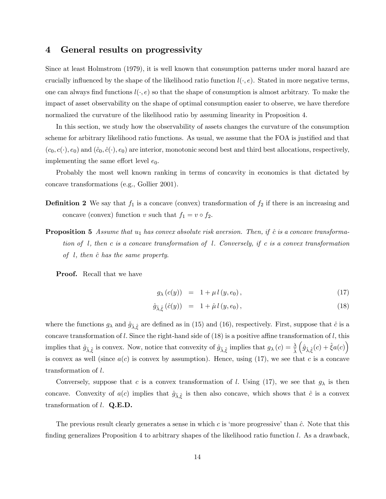## 4 General results on progressivity

Since at least Holmstrom (1979), it is well known that consumption patterns under moral hazard are crucially influenced by the shape of the likelihood ratio function  $l(\cdot, e)$ . Stated in more negative terms, one can always find functions  $l(\cdot, e)$  so that the shape of consumption is almost arbitrary. To make the impact of asset observability on the shape of optimal consumption easier to observe, we have therefore normalized the curvature of the likelihood ratio by assuming linearity in Proposition 4.

In this section, we study how the observability of assets changes the curvature of the consumption scheme for arbitrary likelihood ratio functions. As usual, we assume that the FOA is justified and that  $(c_0, c(\cdot), e_0)$  and  $(\hat{c}_0, \hat{c}(\cdot), e_0)$  are interior, monotonic second best and third best allocations, respectively, implementing the same effort level  $e_0$ .

Probably the most well known ranking in terms of concavity in economics is that dictated by concave transformations (e.g., Gollier 2001).

- **Definition 2** We say that  $f_1$  is a concave (convex) transformation of  $f_2$  if there is an increasing and concave (convex) function v such that  $f_1 = v \circ f_2$ .
- **Proposition 5** Assume that  $u_1$  has convex absolute risk aversion. Then, if  $\hat{c}$  is a concave transformation of l, then c is a concave transformation of l. Conversely, if c is a convex transformation of  $l$ , then  $\hat{c}$  has the same property.

**Proof.** Recall that we have

$$
g_{\lambda}(c(y)) = 1 + \mu l(y, e_0), \qquad (17)
$$

$$
\hat{g}_{\hat{\lambda}, \hat{\xi}} (\hat{c}(y)) = 1 + \hat{\mu} l (y, e_0), \qquad (18)
$$

where the functions  $g_{\lambda}$  and  $\hat{g}_{\lambda, \hat{\xi}}$  are defined as in (15) and (16), respectively. First, suppose that  $\hat{c}$  is a concave transformation of l. Since the right-hand side of  $(18)$  is a positive affine transformation of l, this implies that  $\hat{g}_{\hat{\lambda}, \hat{\xi}}$  is convex. Now, notice that convexity of  $\hat{g}_{\hat{\lambda}, \hat{\xi}}$  implies that  $g_{\lambda}(c) = \frac{\lambda}{\hat{\lambda}}$  $(\hat{g}_{\hat{\lambda}, \hat{\xi}}(c) + \hat{\xi} a(c))$ is convex as well (since  $a(c)$  is convex by assumption). Hence, using (17), we see that c is a concave transformation of l.

Conversely, suppose that c is a convex transformation of l. Using (17), we see that  $g_{\lambda}$  is then concave. Convexity of  $a(c)$  implies that  $\hat{g}_{\hat{\lambda}, \hat{\xi}}$  is then also concave, which shows that  $\hat{c}$  is a convex transformation of  $l$ . Q.E.D.

The previous result clearly generates a sense in which c is 'more progressive' than  $\hat{c}$ . Note that this finding generalizes Proposition 4 to arbitrary shapes of the likelihood ratio function  $l$ . As a drawback,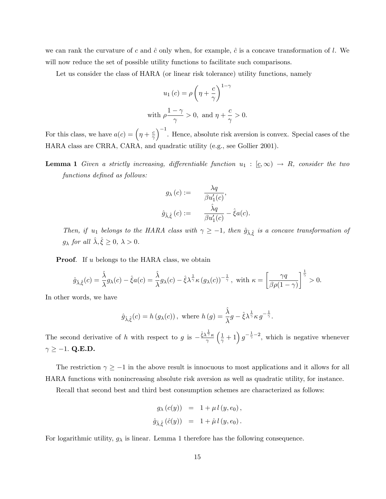we can rank the curvature of c and  $\hat{c}$  only when, for example,  $\hat{c}$  is a concave transformation of l. We will now reduce the set of possible utility functions to facilitate such comparisons.

Let us consider the class of HARA (or linear risk tolerance) utility functions, namely

$$
u_1(c) = \rho \left(\eta + \frac{c}{\gamma}\right)^{1-\gamma}
$$
  
with 
$$
\rho \frac{1-\gamma}{\gamma} > 0, \text{ and } \eta + \frac{c}{\gamma} > 0.
$$

For this class, we have  $a(c) = \left(\eta + \frac{c}{\gamma}\right)$  $\overline{\gamma}$ )<sup>-1</sup>. Hence, absolute risk aversion is convex. Special cases of the HARA class are CRRA, CARA, and quadratic utility (e.g., see Gollier 2001).

**Lemma 1** Given a strictly increasing, differentiable function  $u_1 : [c,\infty) \rightarrow R$ , consider the two functions defined as follows:

$$
g_{\lambda}(c) := \frac{\lambda q}{\beta u_1'(c)},
$$
  

$$
\hat{g}_{\hat{\lambda}, \hat{\xi}}(c) := \frac{\hat{\lambda} q}{\beta u_1'(c)} - \hat{\xi} a(c).
$$

Then, if  $u_1$  belongs to the HARA class with  $\gamma \geq -1$ , then  $\hat{g}_{\hat{\lambda}, \hat{\xi}}$  is a concave transformation of  $g_{\lambda}$  for all  $\hat{\lambda}, \hat{\xi} \geq 0, \lambda > 0.$ 

**Proof.** If u belongs to the HARA class, we obtain

$$
\hat{g}_{\hat{\lambda},\hat{\xi}}(c) = \frac{\hat{\lambda}}{\lambda}g_{\lambda}(c) - \hat{\xi}a(c) = \frac{\hat{\lambda}}{\lambda}g_{\lambda}(c) - \hat{\xi}\lambda^{\frac{1}{\gamma}}\kappa\left(g_{\lambda}(c)\right)^{-\frac{1}{\gamma}}, \text{ with } \kappa = \left[\frac{\gamma q}{\beta\rho(1-\gamma)}\right]^{\frac{1}{\gamma}} > 0.
$$

In other words, we have

$$
\hat{g}_{\hat{\lambda},\hat{\xi}}(c) = h(g_{\lambda}(c)),
$$
 where  $h(g) = \frac{\hat{\lambda}}{\lambda}g - \hat{\xi}\lambda^{\frac{1}{\gamma}}\kappa g^{-\frac{1}{\gamma}}.$ 

The second derivative of h with respect to g is  $-\frac{\hat{\xi} \lambda^{\frac{1}{\gamma}} \kappa}{\gamma}$  $\gamma$  $\left(\frac{1}{\gamma}+1\right)g^{-\frac{1}{\gamma}-2}$ , which is negative whenever  $\gamma \ge -1$ . Q.E.D.

The restriction  $\gamma \geq -1$  in the above result is innocuous to most applications and it allows for all HARA functions with nonincreasing absolute risk aversion as well as quadratic utility, for instance.

Recall that second best and third best consumption schemes are characterized as follows:

$$
g_{\lambda}(c(y)) = 1 + \mu l(y, e_0),
$$
  

$$
\hat{g}_{\hat{\lambda}, \hat{\xi}}(\hat{c}(y)) = 1 + \hat{\mu} l(y, e_0).
$$

For logarithmic utility,  $g_{\lambda}$  is linear. Lemma 1 therefore has the following consequence.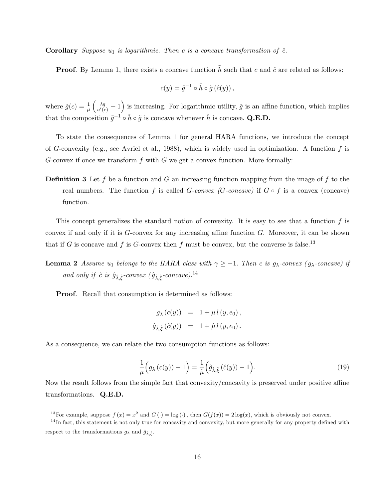**Corollary** Suppose  $u_1$  is logarithmic. Then c is a concave transformation of  $\hat{c}$ .

**Proof.** By Lemma 1, there exists a concave function  $\tilde{h}$  such that c and  $\hat{c}$  are related as follows:

$$
c(y) = \tilde{g}^{-1} \circ \tilde{h} \circ \tilde{g} (\hat{c}(y)),
$$

where  $\tilde{g}(c) = \frac{1}{\mu}$  $\left(\frac{\lambda q}{u'(c)} - 1\right)$  is increasing. For logarithmic utility,  $\tilde{g}$  is an affine function, which implies that the composition  $\tilde{g}^{-1} \circ \tilde{h} \circ \tilde{g}$  is concave whenever  $\tilde{h}$  is concave. Q.E.D.

To state the consequences of Lemma 1 for general HARA functions, we introduce the concept of G-convexity (e.g., see Avriel et al., 1988), which is widely used in optimization. A function  $f$  is G-convex if once we transform  $f$  with  $G$  we get a convex function. More formally:

**Definition 3** Let f be a function and G an increasing function mapping from the image of f to the real numbers. The function f is called G-convex (G-concave) if  $G \circ f$  is a convex (concave) function.

This concept generalizes the standard notion of convexity. It is easy to see that a function  $f$  is convex if and only if it is  $G$ -convex for any increasing affine function  $G$ . Moreover, it can be shown that if G is concave and f is G-convex then f must be convex, but the converse is false.<sup>13</sup>

**Lemma 2** Assume  $u_1$  belongs to the HARA class with  $\gamma \geq -1$ . Then c is  $g_\lambda$ -convex  $(g_\lambda$ -concave) if and only if  $\hat{c}$  is  $\hat{g}_{\hat{\lambda}, \hat{\xi}}$ -convex  $(\hat{g}_{\hat{\lambda}, \hat{\xi}}$ -concave).<sup>14</sup>

Proof. Recall that consumption is determined as follows:

$$
g_{\lambda}(c(y)) = 1 + \mu l(y, e_0),
$$
  

$$
\hat{g}_{\hat{\lambda}, \hat{\xi}}(\hat{c}(y)) = 1 + \hat{\mu} l(y, e_0).
$$

As a consequence, we can relate the two consumption functions as follows:

$$
\frac{1}{\mu}\Big(g_{\lambda}\left(c(y)\right)-1\Big)=\frac{1}{\hat{\mu}}\Big(\hat{g}_{\hat{\lambda},\hat{\xi}}\left(\hat{c}(y)\right)-1\Big). \tag{19}
$$

Now the result follows from the simple fact that convexity/concavity is preserved under positive affine transformations. Q.E.D.

<sup>&</sup>lt;sup>13</sup>For example, suppose  $f(x) = x^2$  and  $G(\cdot) = \log(\cdot)$ , then  $G(f(x)) = 2\log(x)$ , which is obviously not convex.

 $14$ In fact, this statement is not only true for concavity and convexity, but more generally for any property defined with respect to the transformations  $g_{\lambda}$  and  $\hat{g}_{\hat{\lambda}, \hat{\xi}}$ .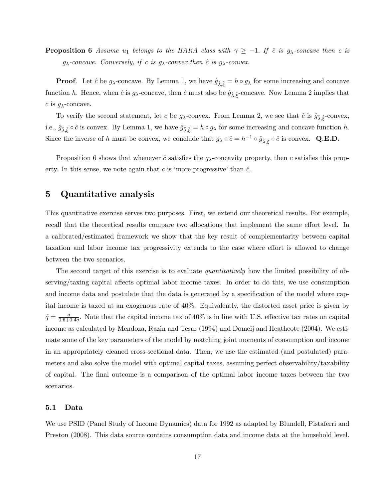**Proposition 6** Assume  $u_1$  belongs to the HARA class with  $\gamma \geq -1$ . If  $\hat{c}$  is  $g_{\lambda}$ -concave then c is  $g_{\lambda}$ -concave. Conversely, if c is  $g_{\lambda}$ -convex then  $\hat{c}$  is  $g_{\lambda}$ -convex.

**Proof.** Let  $\hat{c}$  be  $g_{\lambda}$ -concave. By Lemma 1, we have  $\hat{g}_{\hat{\lambda}, \hat{\xi}} = h \circ g_{\lambda}$  for some increasing and concave function h. Hence, when  $\hat{c}$  is  $g_{\lambda}$ -concave, then  $\hat{c}$  must also be  $\hat{g}_{\hat{\lambda}, \hat{\xi}}$ -concave. Now Lemma 2 implies that c is  $q_{\lambda}$ -concave.

To verify the second statement, let c be  $g_{\lambda}$ -convex. From Lemma 2, we see that  $\hat{c}$  is  $\hat{g}_{\hat{\lambda}, \hat{\xi}}$ -convex, i.e.,  $\hat{g}_{\hat{\lambda}, \hat{\xi}} \circ \hat{c}$  is convex. By Lemma 1, we have  $\hat{g}_{\hat{\lambda}, \hat{\xi}} = h \circ g_{\lambda}$  for some increasing and concave function h. Since the inverse of h must be convex, we conclude that  $g_{\lambda} \circ \hat{c} = h^{-1} \circ \hat{g}_{\hat{\lambda}, \hat{\xi}} \circ \hat{c}$  is convex. Q.E.D.

Proposition 6 shows that whenever  $\hat{c}$  satisfies the g<sub> $\lambda$ </sub>-concavity property, then c satisfies this property. In this sense, we note again that c is 'more progressive' than  $\hat{c}$ .

## 5 Quantitative analysis

This quantitative exercise serves two purposes. First, we extend our theoretical results. For example, recall that the theoretical results compare two allocations that implement the same effort level. In a calibrated/estimated framework we show that the key result of complementarity between capital taxation and labor income tax progressivity extends to the case where effort is allowed to change between the two scenarios.

The second target of this exercise is to evaluate *quantitatively* how the limited possibility of observing/taxing capital affects optimal labor income taxes. In order to do this, we use consumption and income data and postulate that the data is generated by a specification of the model where capital income is taxed at an exogenous rate of 40%. Equivalently, the distorted asset price is given by  $\tilde{q} = \frac{q}{0.6+1}$  $\frac{q}{0.6+0.4q}$ . Note that the capital income tax of 40% is in line with U.S. effective tax rates on capital income as calculated by Mendoza, Razin and Tesar (1994) and Domeij and Heathcote (2004). We estimate some of the key parameters of the model by matching joint moments of consumption and income in an appropriately cleaned cross-sectional data. Then, we use the estimated (and postulated) parameters and also solve the model with optimal capital taxes, assuming perfect observability/taxability of capital. The Önal outcome is a comparison of the optimal labor income taxes between the two scenarios.

#### 5.1 Data

We use PSID (Panel Study of Income Dynamics) data for 1992 as adapted by Blundell, Pistaferri and Preston (2008). This data source contains consumption data and income data at the household level.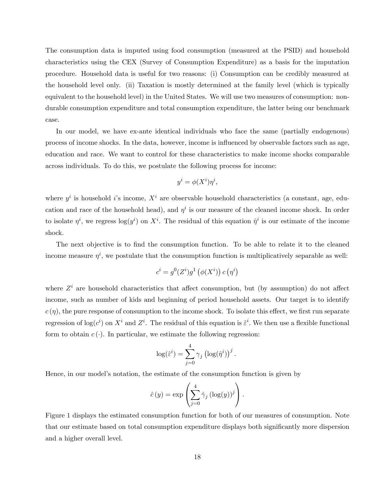The consumption data is imputed using food consumption (measured at the PSID) and household characteristics using the CEX (Survey of Consumption Expenditure) as a basis for the imputation procedure. Household data is useful for two reasons: (i) Consumption can be credibly measured at the household level only. (ii) Taxation is mostly determined at the family level (which is typically equivalent to the household level) in the United States. We will use two measures of consumption: nondurable consumption expenditure and total consumption expenditure, the latter being our benchmark case.

In our model, we have ex-ante identical individuals who face the same (partially endogenous) process of income shocks. In the data, however, income is ináuenced by observable factors such as age, education and race. We want to control for these characteristics to make income shocks comparable across individuals. To do this, we postulate the following process for income:

$$
y^i = \phi(X^i)\eta^i,
$$

where  $y^i$  is household *i*'s income,  $X^i$  are observable household characteristics (a constant, age, education and race of the household head), and  $\eta^i$  is our measure of the cleaned income shock. In order to isolate  $\eta^i$ , we regress  $\log(y^i)$  on  $X^i$ . The residual of this equation  $\hat{\eta}^i$  is our estimate of the income shock.

The next objective is to find the consumption function. To be able to relate it to the cleaned income measure  $\eta^i$ , we postulate that the consumption function is multiplicatively separable as well:

$$
c^i = g^0(Z^i)g^1(\phi(X^i))c(\eta^i)
$$

where  $Z<sup>i</sup>$  are household characteristics that affect consumption, but (by assumption) do not affect income, such as number of kids and beginning of period household assets. Our target is to identify  $c(\eta)$ , the pure response of consumption to the income shock. To isolate this effect, we first run separate regression of  $log(c^i)$  on  $X^i$  and  $Z^i$ . The residual of this equation is  $\hat{\varepsilon}^i$ . We then use a flexible functional form to obtain  $c(\cdot)$ . In particular, we estimate the following regression:

$$
\log(\hat{\varepsilon}^i) = \sum_{j=0}^4 \gamma_j \left( \log(\hat{\eta}^i) \right)^j.
$$

Hence, in our model's notation, the estimate of the consumption function is given by

$$
\hat{c}(y) = \exp\left(\sum_{j=0}^{4} \hat{\gamma}_j (\log(y))^j\right).
$$

Figure 1 displays the estimated consumption function for both of our measures of consumption. Note that our estimate based on total consumption expenditure displays both significantly more dispersion and a higher overall level.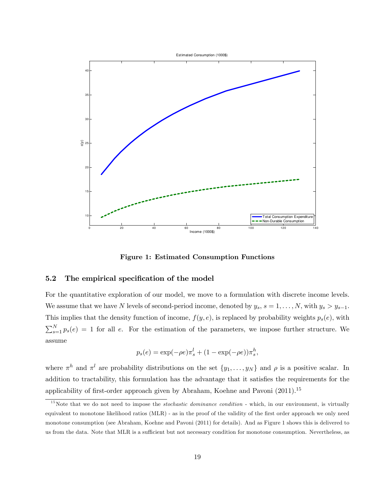

Figure 1: Estimated Consumption Functions

#### 5.2 The empirical specification of the model

For the quantitative exploration of our model, we move to a formulation with discrete income levels. We assume that we have N levels of second-period income, denoted by  $y_s$ ,  $s = 1, \ldots, N$ , with  $y_s > y_{s-1}$ . This implies that the density function of income,  $f(y, e)$ , is replaced by probability weights  $p_s(e)$ , with  $\sum_{s=1}^{N} p_s(e) = 1$  for all e. For the estimation of the parameters, we impose further structure. We assume

$$
p_s(e) = \exp(-\rho e)\pi_s^l + (1 - \exp(-\rho e))\pi_s^h,
$$

where  $\pi^h$  and  $\pi^l$  are probability distributions on the set  $\{y_1, \ldots, y_N\}$  and  $\rho$  is a positive scalar. In addition to tractability, this formulation has the advantage that it satisfies the requirements for the applicability of first-order approach given by Abraham, Koehne and Pavoni  $(2011).<sup>15</sup>$ 

 $15$ Note that we do not need to impose the *stochastic dominance condition* - which, in our environment, is virtually equivalent to monotone likelihood ratios (MLR) - as in the proof of the validity of the first order approach we only need monotone consumption (see Abraham, Koehne and Pavoni (2011) for details). And as Figure 1 shows this is delivered to us from the data. Note that MLR is a sufficient but not necessary condition for monotone consumption. Nevertheless, as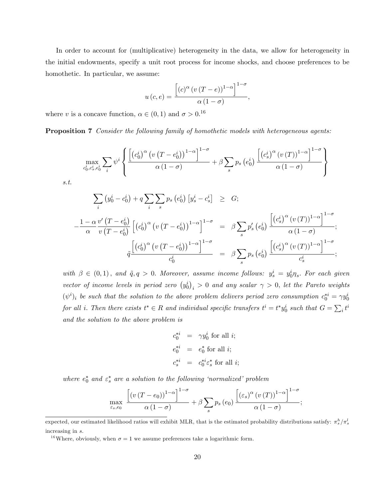In order to account for (multiplicative) heterogeneity in the data, we allow for heterogeneity in the initial endowments, specify a unit root process for income shocks, and choose preferences to be homothetic. In particular, we assume:

$$
u(c,e) = \frac{\left[ (c)^{\alpha} (v (T - e))^{1 - \alpha} \right]^{1 - \sigma}}{\alpha (1 - \sigma)},
$$

where v is a concave function,  $\alpha \in (0,1)$  and  $\sigma > 0$ .<sup>16</sup>

Proposition 7 Consider the following family of homothetic models with heterogeneous agents:

$$
\max_{c_0^i, c_s^i, e_0^i} \sum_i \psi^i \left\{ \frac{\left[ \left( c_0^i \right)^{\alpha} \left( v \left( T - e_0^i \right) \right)^{1-\alpha} \right]^{1-\sigma}}{\alpha \left( 1-\sigma \right)} + \beta \sum_s p_s \left( e_0^i \right) \frac{\left[ \left( c_s^i \right)^{\alpha} \left( v \left( T \right) \right)^{1-\alpha} \right]^{1-\sigma}}{\alpha \left( 1-\sigma \right)} \right\}
$$

s.t.

$$
\sum_{i} (y_0^i - c_0^i) + q \sum_{i} \sum_{s} p_s (e_0^i) [y_s^i - c_s^i] \geq G;
$$
\n
$$
-\frac{1 - \alpha v'(T - e_0^i)}{\alpha v(T - e_0^i)} [(c_0^i)^{\alpha} (v(T - e_0^i))^{1-\alpha}]^{1-\sigma} = \beta \sum_{s} p_s'(e_0^i) \frac{[(c_s^i)^{\alpha} (v(T))^{1-\alpha}]^{1-\sigma}}{\alpha (1-\sigma)};
$$
\n
$$
\tilde{q} \frac{[(c_0^i)^{\alpha} (v(T - e_0^i))^{1-\alpha}]^{1-\sigma}}{c_0^i} = \beta \sum_{s} p_s(e_0^i) \frac{[(c_s^i)^{\alpha} (v(T))^{1-\alpha}]^{1-\sigma}}{c_s^i};
$$

with  $\beta \in (0,1)$ , and  $\tilde{q}, q > 0$ . Moreover, assume income follows:  $y_s^i = y_0^i \eta_s$ . For each given vector of income levels in period zero  $(y_0^i)_i > 0$  and any scalar  $\gamma > 0$ , let the Pareto weights  $(\psi^i)_i$  be such that the solution to the above problem delivers period zero consumption  $c_0^{*i} = \gamma y_0^i$ for all i. Then there exists  $t^* \in R$  and individual specific transfers  $t^i = t^* y_0^i$  such that  $G = \sum_i t^i$ and the solution to the above problem is

> $c_0^{*i}$  =  $\gamma y_0^i$  for all *i*;  $e_0^{*i}$  =  $e_0^*$  for all *i*;  $c_s^{*i} = c_0^{*i} \varepsilon_s^*$  for all *i*;

where  $e_0^*$  and  $\varepsilon_s^*$  are a solution to the following 'normalized' problem

$$
\max_{\varepsilon_s, e_0} \frac{\left[ (v(T - e_0))^{1-\alpha} \right]^{1-\sigma}}{\alpha (1-\sigma)} + \beta \sum_s p_s(e_0) \frac{\left[ (\varepsilon_s)^{\alpha} (v(T))^{1-\alpha} \right]^{1-\sigma}}{\alpha (1-\sigma)};
$$

<sup>16</sup>Where, obviously, when  $\sigma = 1$  we assume preferences take a logarithmic form.

expected, our estimated likelihood ratios will exhibit MLR, that is the estimated probability distributions satisfy:  $\pi_s^h/\pi_s^l$ increasing in s.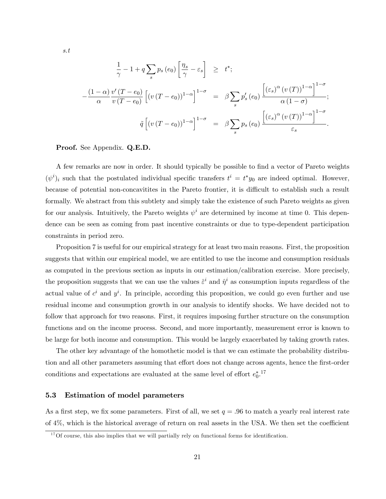$$
\frac{1}{\gamma} - 1 + q \sum_{s} p_s (e_0) \left[ \frac{\eta_s}{\gamma} - \varepsilon_s \right] \geq t^*;
$$
\n
$$
-\frac{(1-\alpha)}{\alpha} \frac{v'(T-e_0)}{v(T-e_0)} \left[ (v(T-e_0))^{1-\alpha} \right]^{1-\sigma} = \beta \sum_{s} p'_s (e_0) \frac{\left[ (\varepsilon_s)^{\alpha} (v(T))^{1-\alpha} \right]^{1-\sigma}}{\alpha (1-\sigma)};
$$
\n
$$
\tilde{q} \left[ (v(T-e_0))^{1-\alpha} \right]^{1-\sigma} = \beta \sum_{s} p_s (e_0) \frac{\left[ (\varepsilon_s)^{\alpha} (v(T))^{1-\alpha} \right]^{1-\sigma}}{\varepsilon_s}.
$$

#### Proof. See Appendix. Q.E.D.

A few remarks are now in order. It should typically be possible to find a vector of Pareto weights  $(\psi^i)_i$  such that the postulated individual specific transfers  $t^i = t^* y_0$  are indeed optimal. However, because of potential non-concavitites in the Pareto frontier, it is difficult to establish such a result formally. We abstract from this subtlety and simply take the existence of such Pareto weights as given for our analysis. Intuitively, the Pareto weights  $\psi^i$  are determined by income at time 0. This dependence can be seen as coming from past incentive constraints or due to type-dependent participation constraints in period zero.

Proposition 7 is useful for our empirical strategy for at least two main reasons. First, the proposition suggests that within our empirical model, we are entitled to use the income and consumption residuals as computed in the previous section as inputs in our estimation/calibration exercise. More precisely, the proposition suggests that we can use the values  $\hat{\varepsilon}^i$  and  $\hat{\eta}^i$  as consumption inputs regardless of the actual value of  $c^i$  and  $y^i$ . In principle, according this proposition, we could go even further and use residual income and consumption growth in our analysis to identify shocks. We have decided not to follow that approach for two reasons. First, it requires imposing further structure on the consumption functions and on the income process. Second, and more importantly, measurement error is known to be large for both income and consumption. This would be largely exacerbated by taking growth rates.

The other key advantage of the homothetic model is that we can estimate the probability distribution and all other parameters assuming that effort does not change across agents, hence the first-order conditions and expectations are evaluated at the same level of effort  $e_0^*$ <sup>17</sup>

#### 5.3 Estimation of model parameters

As a first step, we fix some parameters. First of all, we set  $q = .96$  to match a yearly real interest rate of  $4\%$ , which is the historical average of return on real assets in the USA. We then set the coefficient

 $17$  Of course, this also implies that we will partially rely on functional forms for identification.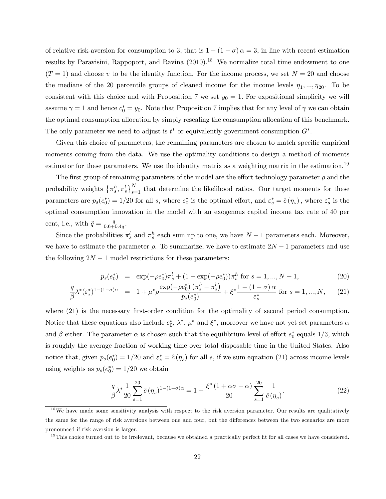of relative risk-aversion for consumption to 3, that is  $1 - (1 - \sigma) \alpha = 3$ , in line with recent estimation results by Paravisini, Rappoport, and Ravina  $(2010).<sup>18</sup>$  We normalize total time endowment to one  $(T = 1)$  and choose v to be the identity function. For the income process, we set  $N = 20$  and choose the medians of the 20 percentile groups of cleaned income for the income levels  $\eta_1, ..., \eta_{20}$ . To be consistent with this choice and with Proposition 7 we set  $y_0 = 1$ . For expositional simplicity we will assume  $\gamma = 1$  and hence  $c_0^* = y_0$ . Note that Proposition 7 implies that for any level of  $\gamma$  we can obtain the optimal consumption allocation by simply rescaling the consumption allocation of this benchmark. The only parameter we need to adjust is  $t^*$  or equivalently government consumption  $G^*$ .

Given this choice of parameters, the remaining parameters are chosen to match specific empirical moments coming from the data. We use the optimality conditions to design a method of moments estimator for these parameters. We use the identity matrix as a weighting matrix in the estimation.<sup>19</sup>

The first group of remaining parameters of the model are the effort technology parameter  $\rho$  and the probability weights  $\{\pi_s^h, \pi_s^l\}_{s=1}^N$  that determine the likelihood ratios. Our target moments for these parameters are  $p_s(e_0^*) = 1/20$  for all s, where  $e_0^*$  is the optimal effort, and  $\varepsilon_s^* = \hat{c}(n_s)$ , where  $\varepsilon_s^*$  is the optimal consumption innovation in the model with an exogenous capital income tax rate of 40 per cent, i.e., with  $\tilde{q} = \frac{q}{0.6+1}$  $\frac{q}{0.6+0.4q}$ .

Since the probabilities  $\pi_s^l$  and  $\pi_s^h$  each sum up to one, we have  $N-1$  parameters each. Moreover, we have to estimate the parameter  $\rho$ . To summarize, we have to estimate  $2N-1$  parameters and use the following  $2N - 1$  model restrictions for these parameters:

$$
p_s(e_0^*) = \exp(-\rho e_0^*) \pi_s^l + (1 - \exp(-\rho e_0^*)) \pi_s^h \text{ for } s = 1, ..., N - 1,
$$
 (20)

$$
\frac{q}{\beta} \lambda^* (\varepsilon_s^*)^{1 - (1 - \sigma)\alpha} = 1 + \mu^* \rho \frac{\exp(-\rho e_0^*) \left(\pi_s^h - \pi_s^l\right)}{p_s(e_0^*)} + \xi^* \frac{1 - (1 - \sigma)\alpha}{\varepsilon_s^*} \text{ for } s = 1, ..., N, \qquad (21)
$$

where  $(21)$  is the necessary first-order condition for the optimality of second period consumption. Notice that these equations also include  $e_0^*, \lambda^*, \mu^*$  and  $\xi^*$ , moreover we have not yet set parameters  $\alpha$ and  $\beta$  either. The parameter  $\alpha$  is chosen such that the equilibrium level of effort  $e_0^*$  equals 1/3, which is roughly the average fraction of working time over total disposable time in the United States. Also notice that, given  $p_s(e_0^*) = 1/20$  and  $\varepsilon_s^* = \hat{c}(\eta_s)$  for all s, if we sum equation (21) across income levels using weights as  $p_s(e_0^*) = 1/20$  we obtain

$$
\frac{q}{\beta} \lambda^* \frac{1}{20} \sum_{s=1}^{20} \hat{c}(\eta_s)^{1 - (1 - \sigma)\alpha} = 1 + \frac{\xi^* \left(1 + \alpha \sigma - \alpha\right)}{20} \sum_{s=1}^{20} \frac{1}{\hat{c}(\eta_s)}.
$$
\n(22)

<sup>&</sup>lt;sup>18</sup>We have made some sensitivity analysis with respect to the risk aversion parameter. Our results are qualitatively the same for the range of risk aversions between one and four, but the differences between the two scenarios are more pronounced if risk aversion is larger.

 $19$ This choice turned out to be irrelevant, because we obtained a practically perfect fit for all cases we have considered.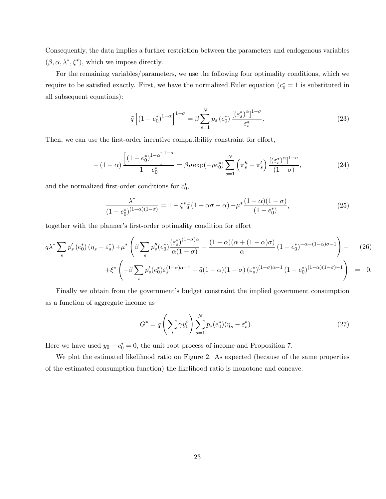Consequently, the data implies a further restriction between the parameters and endogenous variables  $(\beta, \alpha, \lambda^*, \xi^*)$ , which we impose directly.

For the remaining variables/parameters, we use the following four optimality conditions, which we require to be satisfied exactly. First, we have the normalized Euler equation  $(c_0^* = 1$  is substituted in all subsequent equations):

$$
\tilde{q}\left[\left(1-e_0^*\right)^{1-\alpha}\right]^{1-\sigma} = \beta \sum_{s=1}^N p_s\left(e_0^*\right) \frac{\left[\left(\varepsilon_s^*\right)^{\alpha}\right]^{1-\sigma}}{\varepsilon_s^*}.\tag{23}
$$

Then, we can use the first-order incentive compatibility constraint for effort,

$$
-(1-\alpha)\frac{\left[(1-e_0^*)^{1-\alpha}\right]^{1-\sigma}}{1-e_0^*} = \beta\rho\exp(-\rho e_0^*)\sum_{s=1}^N\left(\pi_s^h - \pi_s^l\right)\frac{\left[(\varepsilon_s^*)^{\alpha}\right]^{1-\sigma}}{(1-\sigma)},\tag{24}
$$

and the normalized first-order conditions for  $c_0^*$ ,

$$
\frac{\lambda^*}{(1 - e_0^*)^{(1-\alpha)(1-\sigma)}} = 1 - \xi^* \tilde{q} \left(1 + \alpha \sigma - \alpha\right) - \mu^* \frac{(1-\alpha)(1-\sigma)}{(1 - e_0^*)},\tag{25}
$$

together with the planner's first-order optimality condition for effort

$$
q\lambda^* \sum_s p'_s \left(e_0^*\right) \left(\eta_s - \varepsilon_s^*\right) + \mu^* \left(\beta \sum_s p''_s \left(e_0^*\right) \frac{\left(\varepsilon_s^*\right)^{(1-\sigma)\alpha}}{\alpha \left(1-\sigma\right)} - \frac{(1-\alpha)(\alpha + (1-\alpha)\sigma)}{\alpha} \left(1-\varepsilon_0^*\right)^{-\alpha-(1-\alpha)\sigma-1}\right) + \left(\varepsilon_s^*\left(-\beta \sum_s p'_s \left(e_0^*\right) \varepsilon_s^{(1-\sigma)\alpha-1} - \tilde{q}\left(1-\alpha\right) \left(1-\sigma\right) \left(\varepsilon_s^*\right)^{(1-\sigma)\alpha-1} \left(1-\varepsilon_0^*\right)^{(1-\alpha)(1-\sigma)-1}\right) = 0.
$$

Finally we obtain from the government's budget constraint the implied government consumption as a function of aggregate income as

$$
G^* = q\left(\sum_i \gamma y_0^i\right) \sum_{s=1}^N p_s(e_0^*)(\eta_s - \varepsilon_s^*).
$$
 (27)

Here we have used  $y_0 - c_0^* = 0$ , the unit root process of income and Proposition 7.

We plot the estimated likelihood ratio on Figure 2. As expected (because of the same properties of the estimated consumption function) the likelihood ratio is monotone and concave.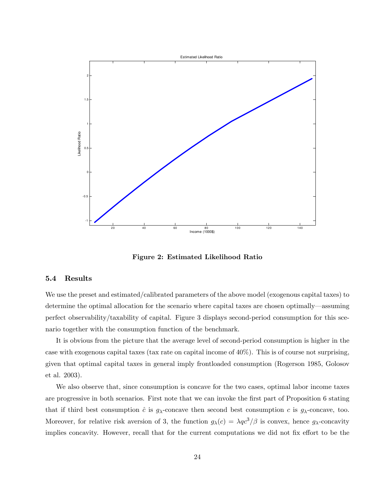

Figure 2: Estimated Likelihood Ratio

#### 5.4 Results

We use the preset and estimated/calibrated parameters of the above model (exogenous capital taxes) to determine the optimal allocation for the scenario where capital taxes are chosen optimally—assuming perfect observability/taxability of capital. Figure 3 displays second-period consumption for this scenario together with the consumption function of the benchmark.

It is obvious from the picture that the average level of second-period consumption is higher in the case with exogenous capital taxes (tax rate on capital income of 40%). This is of course not surprising, given that optimal capital taxes in general imply frontloaded consumption (Rogerson 1985, Golosov et al. 2003).

We also observe that, since consumption is concave for the two cases, optimal labor income taxes are progressive in both scenarios. First note that we can invoke the first part of Proposition 6 stating that if third best consumption  $\hat{c}$  is  $g_{\lambda}$ -concave then second best consumption c is  $g_{\lambda}$ -concave, too. Moreover, for relative risk aversion of 3, the function  $g_{\lambda}(c) = \lambda q c^3/\beta$  is convex, hence  $g_{\lambda}$ -concavity implies concavity. However, recall that for the current computations we did not fix effort to be the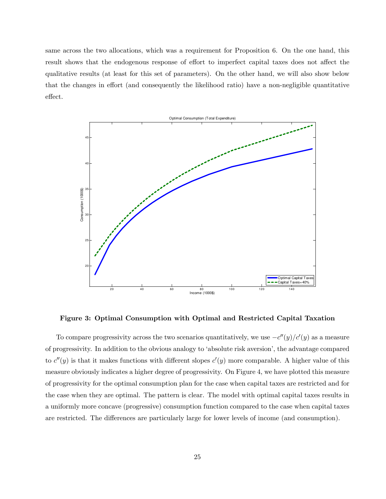same across the two allocations, which was a requirement for Proposition 6. On the one hand, this result shows that the endogenous response of effort to imperfect capital taxes does not affect the qualitative results (at least for this set of parameters). On the other hand, we will also show below that the changes in effort (and consequently the likelihood ratio) have a non-negligible quantitative effect.



Figure 3: Optimal Consumption with Optimal and Restricted Capital Taxation

To compare progressivity across the two scenarios quantitatively, we use  $-c''(y)/c'(y)$  as a measure of progressivity. In addition to the obvious analogy to ëabsolute risk aversioní, the advantage compared to  $c''(y)$  is that it makes functions with different slopes  $c'(y)$  more comparable. A higher value of this measure obviously indicates a higher degree of progressivity. On Figure 4, we have plotted this measure of progressivity for the optimal consumption plan for the case when capital taxes are restricted and for the case when they are optimal. The pattern is clear. The model with optimal capital taxes results in a uniformly more concave (progressive) consumption function compared to the case when capital taxes are restricted. The differences are particularly large for lower levels of income (and consumption).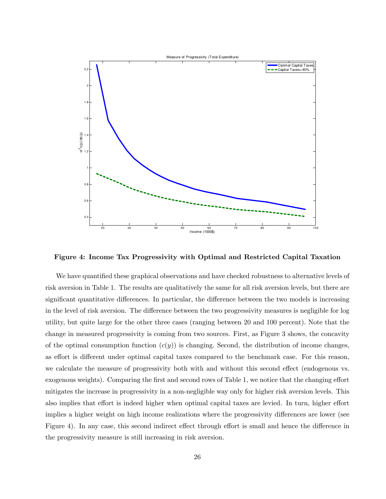

Figure 4: Income Tax Progressivity with Optimal and Restricted Capital Taxation

We have quantified these graphical observations and have checked robustness to alternative levels of risk aversion in Table 1. The results are qualitatively the same for all risk aversion levels, but there are significant quantitative differences. In particular, the difference between the two models is increasing in the level of risk aversion. The difference between the two progressivity measures is negligible for log utility, but quite large for the other three cases (ranging between 20 and 100 percent): Note that the change in measured progressivity is coming from two sources. First, as Figure 3 shows, the concavity of the optimal consumption function  $(c(y))$  is changing. Second, the distribution of income changes, as effort is different under optimal capital taxes compared to the benchmark case. For this reason, we calculate the measure of progressivity both with and without this second effect (endogenous vs. exogenous weights). Comparing the first and second rows of Table 1, we notice that the changing effort mitigates the increase in progressivity in a non-negligible way only for higher risk aversion levels. This also implies that effort is indeed higher when optimal capital taxes are levied. In turn, higher effort implies a higher weight on high income realizations where the progressivity differences are lower (see Figure 4). In any case, this second indirect effect through effort is small and hence the difference in the progressivity measure is still increasing in risk aversion.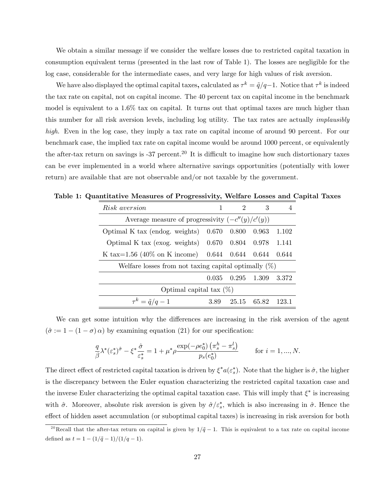We obtain a similar message if we consider the welfare losses due to restricted capital taxation in consumption equivalent terms (presented in the last row of Table 1). The losses are negligible for the log case, considerable for the intermediate cases, and very large for high values of risk aversion.

We have also displayed the optimal capital taxes, calculated as  $\tau^k = \tilde{q}/q-1$ . Notice that  $\tau^k$  is indeed the tax rate on capital, not on capital income. The 40 percent tax on capital income in the benchmark model is equivalent to a 1.6% tax on capital. It turns out that optimal taxes are much higher than this number for all risk aversion levels, including log utility. The tax rates are actually implausibly high. Even in the log case, they imply a tax rate on capital income of around 90 percent. For our benchmark case, the implied tax rate on capital income would be around 1000 percent, or equivalently the after-tax return on savings is -37 percent.<sup>20</sup> It is difficult to imagine how such distortionary taxes can be ever implemented in a world where alternative savings opportunities (potentially with lower return) are available that are not observable and/or not taxable by the government.

| Risk aversion                                           |       | 2           | 3       |       |  |  |
|---------------------------------------------------------|-------|-------------|---------|-------|--|--|
| Average measure of progressivity $(-c''(y)/c'(y))$      |       |             |         |       |  |  |
| Optimal K tax (endog. weights)                          | 0.670 | 0.800       | 0.963   | 1.102 |  |  |
| Optimal K tax (exog. weights) $0.670$ $0.804$ $0.978$   |       |             |         | 1.141 |  |  |
| K tax= $1.56$ (40\% on K income)                        |       | 0.644 0.644 | - 0.644 | 0.644 |  |  |
| Welfare losses from not taxing capital optimally $(\%)$ |       |             |         |       |  |  |
|                                                         | 0.035 | 0.295       | 1.309   | 3.372 |  |  |
| Optimal capital tax $(\%)$                              |       |             |         |       |  |  |
| $\tau^k = \tilde{q}/q - 1$                              | 3.89  | 25.15       | 65.82   | 123.1 |  |  |

Table 1: Quantitative Measures of Progressivity, Welfare Losses and Capital Taxes

We can get some intuition why the differences are increasing in the risk aversion of the agent  $(\hat{\sigma} := 1 - (1 - \sigma) \alpha)$  by examining equation (21) for our specification:

$$
\frac{q}{\beta} \lambda^* (\varepsilon_s^*)^{\hat{\sigma}} - \xi^* \frac{\hat{\sigma}}{\varepsilon_s^*} = 1 + \mu^* \rho \frac{\exp(-\rho e_0^*) \left( \pi_s^h - \pi_s^l \right)}{p_s (e_0^*)} \qquad \text{for } i = 1, ..., N.
$$

The direct effect of restricted capital taxation is driven by  $\xi^* a(\varepsilon_s^*)$ . Note that the higher is  $\hat{\sigma}$ , the higher is the discrepancy between the Euler equation characterizing the restricted capital taxation case and the inverse Euler characterizing the optimal capital taxation case. This will imply that  $\xi^*$  is increasing with  $\hat{\sigma}$ . Moreover, absolute risk aversion is given by  $\hat{\sigma}/\varepsilon_s^*$ , which is also increasing in  $\hat{\sigma}$ . Hence the effect of hidden asset accumulation (or suboptimal capital taxes) is increasing in risk aversion for both

<sup>&</sup>lt;sup>20</sup>Recall that the after-tax return on capital is given by  $1/\tilde{q} - 1$ . This is equivalent to a tax rate on capital income defined as  $t = 1 - (1/\tilde{q} - 1)/(1/q - 1).$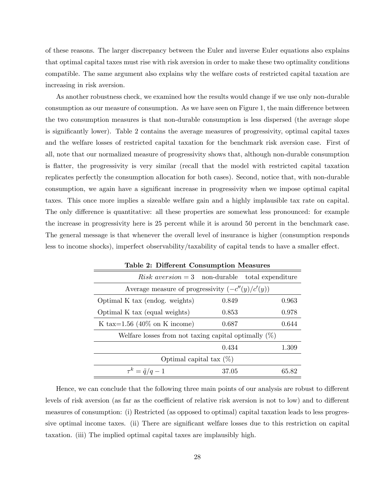of these reasons. The larger discrepancy between the Euler and inverse Euler equations also explains that optimal capital taxes must rise with risk aversion in order to make these two optimality conditions compatible. The same argument also explains why the welfare costs of restricted capital taxation are increasing in risk aversion.

As another robustness check, we examined how the results would change if we use only non-durable consumption as our measure of consumption. As we have seen on Figure 1, the main difference between the two consumption measures is that non-durable consumption is less dispersed (the average slope is significantly lower). Table 2 contains the average measures of progressivity, optimal capital taxes and the welfare losses of restricted capital taxation for the benchmark risk aversion case. First of all, note that our normalized measure of progressivity shows that, although non-durable consumption is flatter, the progressivity is very similar (recall that the model with restricted capital taxation replicates perfectly the consumption allocation for both cases). Second, notice that, with non-durable consumption, we again have a significant increase in progressivity when we impose optimal capital taxes. This once more implies a sizeable welfare gain and a highly implausible tax rate on capital. The only difference is quantitative: all these properties are somewhat less pronounced: for example the increase in progressivity here is 25 percent while it is around 50 percent in the benchmark case. The general message is that whenever the overall level of insurance is higher (consumption responds less to income shocks), imperfect observability/taxability of capital tends to have a smaller effect.

| Lable 2. Different Consumption ivides thes              |       |  |       |  |  |
|---------------------------------------------------------|-------|--|-------|--|--|
| Risk aversion = 3 non-durable total expenditure         |       |  |       |  |  |
| Average measure of progressivity $(-c''(y)/c'(y))$      |       |  |       |  |  |
| Optimal K tax (endog. weights)                          | 0.849 |  | 0.963 |  |  |
| Optimal K tax (equal weights)                           | 0.853 |  | 0.978 |  |  |
| K tax= $1.56$ (40% on K income)                         | 0.687 |  | 0.644 |  |  |
| Welfare losses from not taxing capital optimally $(\%)$ |       |  |       |  |  |
|                                                         | 0.434 |  | 1.309 |  |  |
| Optimal capital tax $(\%)$                              |       |  |       |  |  |
| $\tau^k = \tilde{q}/q - 1$                              | 37.05 |  | 65.82 |  |  |

Table 2: Different Consumption Measures

Hence, we can conclude that the following three main points of our analysis are robust to different levels of risk aversion (as far as the coefficient of relative risk aversion is not to low) and to different measures of consumption: (i) Restricted (as opposed to optimal) capital taxation leads to less progressive optimal income taxes. (ii) There are significant welfare losses due to this restriction on capital taxation. (iii) The implied optimal capital taxes are implausibly high.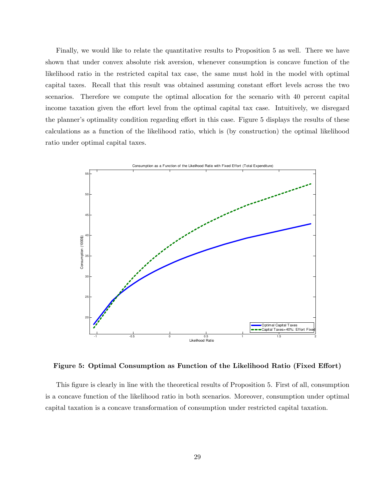Finally, we would like to relate the quantitative results to Proposition 5 as well. There we have shown that under convex absolute risk aversion, whenever consumption is concave function of the likelihood ratio in the restricted capital tax case, the same must hold in the model with optimal capital taxes. Recall that this result was obtained assuming constant effort levels across the two scenarios. Therefore we compute the optimal allocation for the scenario with 40 percent capital income taxation given the effort level from the optimal capital tax case. Intuitively, we disregard the planner's optimality condition regarding effort in this case. Figure 5 displays the results of these calculations as a function of the likelihood ratio, which is (by construction) the optimal likelihood ratio under optimal capital taxes.



Figure 5: Optimal Consumption as Function of the Likelihood Ratio (Fixed Effort)

This figure is clearly in line with the theoretical results of Proposition 5. First of all, consumption is a concave function of the likelihood ratio in both scenarios. Moreover, consumption under optimal capital taxation is a concave transformation of consumption under restricted capital taxation.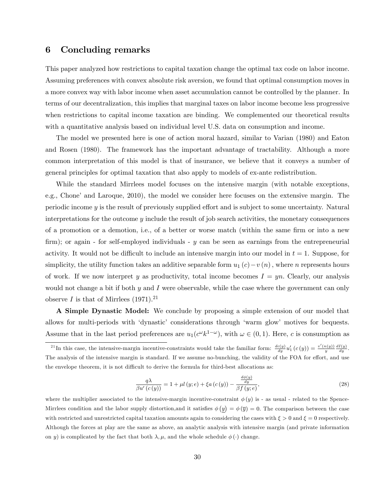## 6 Concluding remarks

This paper analyzed how restrictions to capital taxation change the optimal tax code on labor income. Assuming preferences with convex absolute risk aversion, we found that optimal consumption moves in a more convex way with labor income when asset accumulation cannot be controlled by the planner. In terms of our decentralization, this implies that marginal taxes on labor income become less progressive when restrictions to capital income taxation are binding. We complemented our theoretical results with a quantitative analysis based on individual level U.S. data on consumption and income.

The model we presented here is one of action moral hazard, similar to Varian (1980) and Eaton and Rosen (1980). The framework has the important advantage of tractability. Although a more common interpretation of this model is that of insurance, we believe that it conveys a number of general principles for optimal taxation that also apply to models of ex-ante redistribution.

While the standard Mirrlees model focuses on the intensive margin (with notable exceptions, e.g., Chone' and Laroque, 2010), the model we consider here focuses on the extensive margin. The periodic income  $y$  is the result of previously supplied effort and is subject to some uncertainty. Natural interpretations for the outcome y include the result of job search activities, the monetary consequences of a promotion or a demotion, i.e., of a better or worse match (within the same firm or into a new firm); or again - for self-employed individuals -  $y$  can be seen as earnings from the entrepreneurial activity. It would not be difficult to include an intensive margin into our model in  $t = 1$ . Suppose, for simplicity, the utility function takes an additive separable form  $u_1(c)-v(n)$ , where n represents hours of work. If we now interpret y as productivity, total income becomes  $I = yn$ . Clearly, our analysis would not change a bit if both  $y$  and  $I$  were observable, while the case where the government can only observe I is that of Mirrlees  $(1971).^{21}$ 

A Simple Dynastic Model: We conclude by proposing a simple extension of our model that allows for multi-periods with 'dynastic' considerations through 'warm glow' motives for bequests. Assume that in the last period preferences are  $u_1(c^{\omega}k^{1-\omega})$ , with  $\omega \in (0,1)$ . Here, c is consumption as

$$
\frac{q\lambda}{\beta u'(c(y))} = 1 + \mu l(y; e) + \xi a(c(y)) - \frac{\frac{d\phi(y)}{dy}}{\beta f(y; e)},\tag{28}
$$

where the multiplier associated to the intensive-margin incentive-constraint  $\phi(y)$  is - as usual - related to the Spence-Mirrlees condition and the labor supply distortion, and it satisfies  $\phi(y) = \phi(\bar{y}) = 0$ . The comparison between the case with restricted and unrestricted capital taxation amounts again to considering the cases with  $\xi > 0$  and  $\xi = 0$  respectively. Although the forces at play are the same as above, an analytic analysis with intensive margin (and private information on y) is complicated by the fact that both  $\lambda, \mu$ , and the whole schedule  $\phi(\cdot)$  change.

<sup>&</sup>lt;sup>21</sup>In this case, the intensive-margin incentive-constraints would take the familiar form:  $\frac{dc(y)}{dy}u'_1(c(y)) = \frac{v'(n(y))}{y} \frac{dI(y)}{dy}$ . The analysis of the intensive margin is standard. If we assume no-bunching, the validity of the FOA for effort, and use the envelope theorem, it is not difficult to derive the formula for third-best allocations as: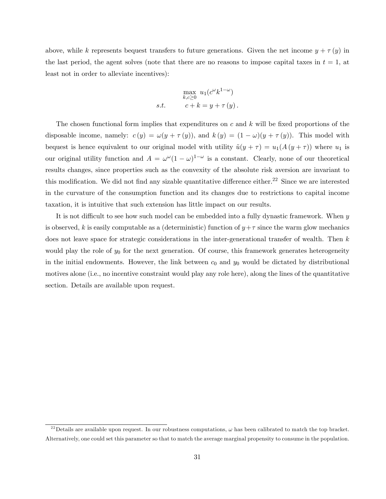above, while k represents bequest transfers to future generations. Given the net income  $y + \tau(y)$  in the last period, the agent solves (note that there are no reasons to impose capital taxes in  $t = 1$ , at least not in order to alleviate incentives):

$$
\max_{k,c\geq 0} u_1(c^{\omega}k^{1-\omega})
$$
  
s.t. 
$$
c+k = y + \tau(y).
$$

The chosen functional form implies that expenditures on  $c$  and  $k$  will be fixed proportions of the disposable income, namely:  $c(y) = \omega(y + \tau(y))$ , and  $k(y) = (1 - \omega)(y + \tau(y))$ . This model with bequest is hence equivalent to our original model with utility  $\tilde{u}(y + \tau) = u_1(A(y + \tau))$  where  $u_1$  is our original utility function and  $A = \omega^{\omega} (1 - \omega)^{1 - \omega}$  is a constant. Clearly, none of our theoretical results changes, since properties such as the convexity of the absolute risk aversion are invariant to this modification. We did not find any sizable quantitative difference either.<sup>22</sup> Since we are interested in the curvature of the consumption function and its changes due to restrictions to capital income taxation, it is intuitive that such extension has little impact on our results.

It is not difficult to see how such model can be embedded into a fully dynastic framework. When  $y$ is observed, k is easily computable as a (deterministic) function of  $y+\tau$  since the warm glow mechanics does not leave space for strategic considerations in the inter-generational transfer of wealth. Then k would play the role of  $y_0$  for the next generation. Of course, this framework generates heterogeneity in the initial endowments. However, the link between  $c_0$  and  $y_0$  would be dictated by distributional motives alone (i.e., no incentive constraint would play any role here), along the lines of the quantitative section. Details are available upon request.

<sup>&</sup>lt;sup>22</sup> Details are available upon request. In our robustness computations,  $\omega$  has been calibrated to match the top bracket. Alternatively, one could set this parameter so that to match the average marginal propensity to consume in the population.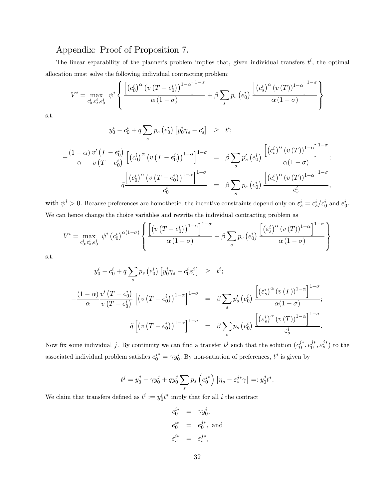## Appendix: Proof of Proposition 7.

The linear separability of the planner's problem implies that, given individual transfers  $t^i$ , the optimal allocation must solve the following individual contracting problem:

$$
V^{i} = \max_{c_0^{i}, c_s^{i}, e_0^{i}} \psi^{i} \left\{ \frac{\left[ \left( c_0^{i} \right)^{\alpha} \left( v \left( T - e_0^{i} \right) \right)^{1-\alpha} \right]^{1-\sigma}}{\alpha \left( 1-\sigma \right)} + \beta \sum_{s} p_s \left( e_0^{i} \right) \frac{\left[ \left( c_s^{i} \right)^{\alpha} \left( v \left( T \right) \right)^{1-\alpha} \right]^{1-\sigma}}{\alpha \left( 1-\sigma \right)} \right\}
$$

s.t.

$$
y_0^i - c_0^i + q \sum_s p_s (e_0^i) [y_0^i \eta_s - c_s^i] \geq t^i;
$$

$$
-\frac{(1-\alpha)}{\alpha} \frac{v'\left(T-e_0^i\right)}{v\left(T-e_0^i\right)} \left[\left(c_0^i\right)^{\alpha} \left(v\left(T-e_0^i\right)\right)^{1-\alpha}\right]^{1-\sigma} = \beta \sum_{s} p'_s \left(e_0^i\right) \frac{\left[\left(c_s^i\right)^{\alpha} \left(v\left(T\right)\right)^{1-\alpha}\right]^{1-\sigma}}{\alpha(1-\sigma)};
$$
  

$$
\tilde{q} \frac{\left[\left(c_0^i\right)^{\alpha} \left(v\left(T-e_0^i\right)\right)^{1-\alpha}\right]^{1-\sigma}}{c_0^i} = \beta \sum_{s} p_s \left(e_0^i\right) \frac{\left[\left(c_s^i\right)^{\alpha} \left(v\left(T\right)\right)^{1-\alpha}\right]^{1-\sigma}}{c_s^i},
$$

with  $\psi^i > 0$ . Because preferences are homothetic, the incentive constraints depend only on  $\varepsilon_s^i = c_s^i/c_0^i$  and  $e_0^i$ . We can hence change the choice variables and rewrite the individual contracting problem as

$$
V^{i} = \max_{c_{0}^{i}, \varepsilon_{s}^{i}, e_{0}^{i}} \psi^{i} (c_{0}^{i})^{\alpha(1-\sigma)} \left\{ \frac{\left[ \left( v \left( T - e_{0}^{i} \right) \right)^{1-\alpha} \right]^{1-\sigma}}{\alpha \left( 1-\sigma \right)} + \beta \sum_{s} p_{s} \left( e_{0}^{i} \right) \frac{\left[ \left( \varepsilon_{s}^{i} \right)^{\alpha} \left( v \left( T \right) \right)^{1-\alpha} \right]^{1-\sigma}}{\alpha \left( 1-\sigma \right)} \right\}
$$

s.t.

$$
y_0^i - c_0^i + q \sum_s p_s (e_0^i) [y_0^i \eta_s - c_0^i \varepsilon_s^i] \geq t^i;
$$
  

$$
-\frac{(1-\alpha)}{\alpha} \frac{v'(T-e_0^i)}{v(T-e_0^i)} [(v(T-e_0^i))^{1-\alpha}]^{1-\sigma} = \beta \sum_s p_s' (e_0^i) \frac{[(\varepsilon_s^i)^{\alpha} (v(T))^{1-\alpha}]^{1-\sigma}}{\alpha(1-\sigma)};
$$
  

$$
\tilde{q} [(v(T-e_0^i))^{1-\alpha}]^{1-\sigma} = \beta \sum_s p_s (e_0^i) \frac{[(\varepsilon_s^i)^{\alpha} (v(T))^{1-\alpha}]^{1-\sigma}}{\varepsilon_s^i}.
$$

Now fix some individual j. By continuity we can find a transfer  $t^j$  such that the solution  $(c_0^j)$  $j^*, e_j^{j*}$  $j^*, \varepsilon_s^{j*}$  to the associated individual problem satisfies  $c_0^{j*} = \gamma y_0^j$  $\hat{j}$ . By non-satiation of preferences,  $t^j$  is given by

$$
t^j = y_0^j - \gamma y_0^j + q y_0^j \sum_s p_s \left( e_0^{j*} \right) \left[ \eta_s - \varepsilon_s^{j*} \gamma \right] =: y_0^j t^*.
$$

We claim that transfers defined as  $t^i := y_0^i t^*$  imply that for all i the contract

$$
c_0^{i*} = \gamma y_0^i,
$$
  
\n
$$
e_0^{i*} = e_0^{j*}, \text{ and}
$$
  
\n
$$
\varepsilon_s^{i*} = \varepsilon_s^{j*},
$$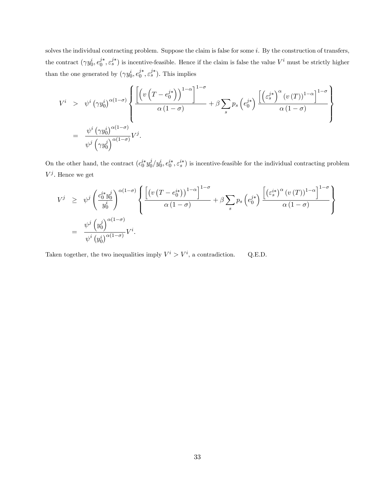solves the individual contracting problem. Suppose the claim is false for some  $i$ . By the construction of transfers, the contract  $(\gamma y_0^i, e_0^{j*})$  $(j^*, \varepsilon_s^{j*})$  is incentive-feasible. Hence if the claim is false the value  $V^i$  must be strictly higher than the one generated by  $(\gamma y_0^i, e_0^{j*})$  $j^*_{0}, \varepsilon_s^{j*}$ ). This implies

$$
V^{i} > \psi^{i} (\gamma y_{0}^{i})^{\alpha(1-\sigma)} \left\{ \frac{\left[ \left( v\left(T - e_{0}^{j*}\right) \right)^{1-\alpha} \right]^{1-\sigma}}{\alpha(1-\sigma)} + \beta \sum_{s} p_{s} \left(e_{0}^{j*}\right) \frac{\left[ \left( e_{s}^{j*} \right)^{\alpha} (v(T))^{1-\alpha} \right]^{1-\sigma}}{\alpha(1-\sigma)} \right\}}{\alpha(1-\sigma)} \right\}
$$
  
= 
$$
\frac{\psi^{i} (\gamma y_{0}^{i})^{\alpha(1-\sigma)}}{\psi^{j} \left(\gamma y_{0}^{j}\right)^{\alpha(1-\sigma)}} V^{j}.
$$

On the other hand, the contract  $(c_0^{i*}y_0^j)$  $\partial_0^j/y_0^i, e_0^{i*}, \varepsilon_s^{i*}$  is incentive-feasible for the individual contracting problem  $V^j$ . Hence we get

$$
V^{j} \geq \psi^{j} \left( \frac{c_{0}^{i*} y_{0}^{j}}{y_{0}^{i}} \right)^{\alpha(1-\sigma)} \left\{ \frac{\left[ \left( v\left(T - e_{0}^{i*}\right) \right)^{1-\alpha} \right]^{1-\sigma}}{\alpha(1-\sigma)} + \beta \sum_{s} p_{s} \left( e_{0}^{j*} \right) \frac{\left[ \left( e_{s}^{i*} \right)^{\alpha} \left( v\left(T\right) \right)^{1-\alpha} \right]^{1-\sigma}}{\alpha(1-\sigma)} \right\} \right\}
$$
  

$$
= \frac{\psi^{j} \left( y_{0}^{j} \right)^{\alpha(1-\sigma)}}{\psi^{i} \left( y_{0}^{i} \right)^{\alpha(1-\sigma)}} V^{i}.
$$

Taken together, the two inequalities imply  $V^i > V^i$ , a contradiction. Q.E.D.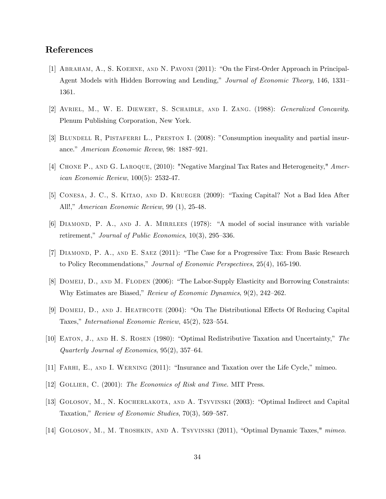## References

- [1] ABRAHAM, A., S. KOEHNE, AND N. PAVONI (2011): "On the First-Order Approach in Principal-Agent Models with Hidden Borrowing and Lending," Journal of Economic Theory, 146, 1331– 1361.
- [2] Avriel, M., W. E. Diewert, S. Schaible, and I. Zang. (1988): Generalized Concavity. Plenum Publishing Corporation, New York.
- [3] BLUNDELL R, PISTAFERRI L., PRESTON I. (2008): "Consumption inequality and partial insurance." American Economic Revew, 98: 1887–921.
- [4] Chone P., and G. Laroque, (2010): "Negative Marginal Tax Rates and Heterogeneity," American Economic Review, 100(5): 2532-47.
- [5] CONESA, J. C., S. KITAO, AND D. KRUEGER (2009): "Taxing Capital? Not a Bad Idea After All!," American Economic Review, 99 (1), 25-48.
- $[6]$  DIAMOND, P. A., AND J. A. MIRRLEES (1978): "A model of social insurance with variable retirement," Journal of Public Economics,  $10(3)$ ,  $295-336$ .
- [7] DIAMOND, P. A., AND E. SAEZ (2011): "The Case for a Progressive Tax: From Basic Research to Policy Recommendations," Journal of Economic Perspectives, 25(4), 165-190.
- [8] DOMEIJ, D., AND M. FLODEN (2006): "The Labor-Supply Elasticity and Borrowing Constraints: Why Estimates are Biased," Review of Economic Dynamics,  $9(2)$ ,  $242-262$ .
- [9] DOMEIJ, D., AND J. HEATHCOTE (2004): "On The Distributional Effects Of Reducing Capital Taxes," International Economic Review,  $45(2)$ ,  $523-554$ .
- [10] EATON, J., AND H. S. ROSEN (1980): "Optimal Redistributive Taxation and Uncertainty," The Quarterly Journal of Economics,  $95(2)$ ,  $357-64$ .
- [11] FARHI, E., AND I. WERNING (2011): "Insurance and Taxation over the Life Cycle," mimeo.
- [12] GOLLIER, C. (2001): The Economics of Risk and Time. MIT Press.
- [13] GOLOSOV, M., N. KOCHERLAKOTA, AND A. TSYVINSKI (2003): "Optimal Indirect and Capital Taxation," Review of Economic Studies,  $70(3)$ ,  $569-587$ .
- [14] GOLOSOV, M., M. TROSHKIN, AND A. TSYVINSKI  $(2011)$ , "Optimal Dynamic Taxes," mimeo.